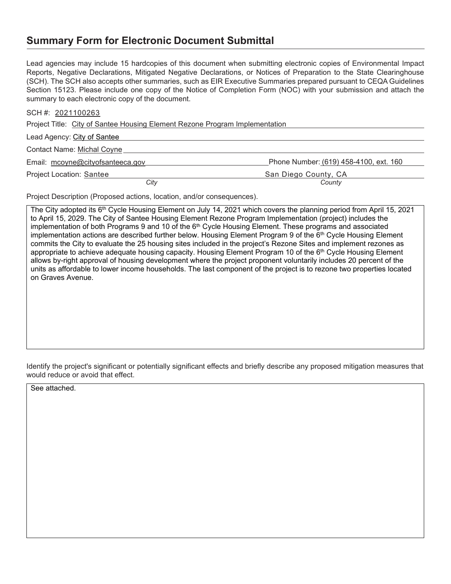## **Summary Form for Electronic Document Submittal**

Lead agencies may include 15 hardcopies of this document when submitting electronic copies of Environmental Impact Reports, Negative Declarations, Mitigated Negative Declarations, or Notices of Preparation to the State Clearinghouse (SCH). The SCH also accepts other summaries, such as EIR Executive Summaries prepared pursuant to CEQA Guidelines Section 15123. Please include one copy of the Notice of Completion Form (NOC) with your submission and attach the summary to each electronic copy of the document.

| SCH #: 2021100263 |  |
|-------------------|--|
|                   |  |

Project Title: City of Santee Housing Element Rezone Program Implementation

| Lead Agency: City of Santee       |                                        |
|-----------------------------------|----------------------------------------|
| <b>Contact Name: Michal Coyne</b> |                                        |
| Email: mcoyne@cityofsanteeca.gov  | Phone Number: (619) 458-4100, ext. 160 |
| <b>Project Location: Santee</b>   | San Diego County, CA                   |
| Citv                              | County                                 |

Project Description (Proposed actions, location, and/or consequences).

The City adopted its 6<sup>th</sup> Cycle Housing Element on July 14, 2021 which covers the planning period from April 15, 2021 to April 15, 2029. The City of Santee Housing Element Rezone Program Implementation (project) includes the implementation of both Programs 9 and 10 of the 6<sup>th</sup> Cycle Housing Element. These programs and associated implementation actions are described further below. Housing Element Program 9 of the 6<sup>th</sup> Cycle Housing Element commits the City to evaluate the 25 housing sites included in the project's Rezone Sites and implement rezones as appropriate to achieve adequate housing capacity. Housing Element Program 10 of the 6<sup>th</sup> Cycle Housing Element allows by-right approval of housing development where the project proponent voluntarily includes 20 percent of the units as affordable to lower income households. The last component of the project is to rezone two properties located on Graves Avenue.

Identify the project's significant or potentially significant effects and briefly describe any proposed mitigation measures that would reduce or avoid that effect.

See attached.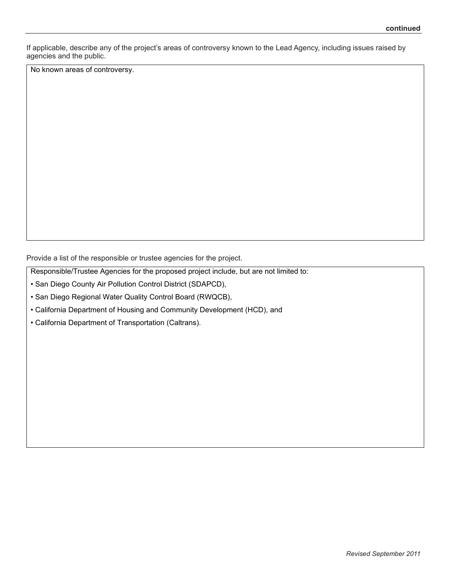If applicable, describe any of the project's areas of controversy known to the Lead Agency, including issues raised by agencies and the public.

No known areas of controversy.

Provide a list of the responsible or trustee agencies for the project.

Responsible/Trustee Agencies for the proposed project include, but are not limited to:

• San Diego County Air Pollution Control District (SDAPCD),

• San Diego Regional Water Quality Control Board (RWQCB),

• California Department of Housing and Community Development (HCD), and

• California Department of Transportation (Caltrans).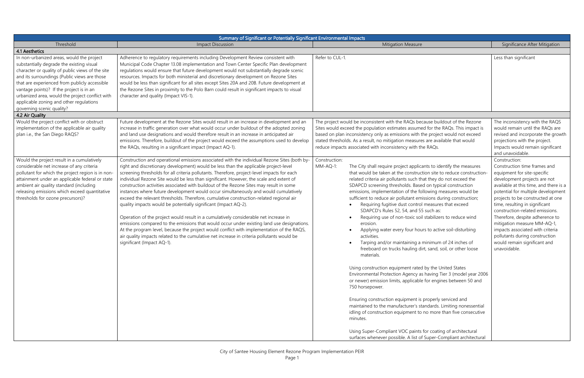| Summary of Significant or Potentially Significant Environmental Impacts                                                                                                                                                                                                                                                                                                                                            |                                                                                                                                                                                                                                                                                                                                                                                                                                                                                                                                                                                                                                                                                                                                                                                                                                                                                                                                                                                                                                                                                                                                                |                                                                                                                                                                                                                                                                                                                                                                                                                                                                                                                                                                                                                                                                                                                                                                                                                                                                                                                                                                                                                                                                                                                                                                                                                                                                                                                                                                                                                               |                                                                                                                                                                                                                                                                                                                                                                                                                                                                                                |  |
|--------------------------------------------------------------------------------------------------------------------------------------------------------------------------------------------------------------------------------------------------------------------------------------------------------------------------------------------------------------------------------------------------------------------|------------------------------------------------------------------------------------------------------------------------------------------------------------------------------------------------------------------------------------------------------------------------------------------------------------------------------------------------------------------------------------------------------------------------------------------------------------------------------------------------------------------------------------------------------------------------------------------------------------------------------------------------------------------------------------------------------------------------------------------------------------------------------------------------------------------------------------------------------------------------------------------------------------------------------------------------------------------------------------------------------------------------------------------------------------------------------------------------------------------------------------------------|-------------------------------------------------------------------------------------------------------------------------------------------------------------------------------------------------------------------------------------------------------------------------------------------------------------------------------------------------------------------------------------------------------------------------------------------------------------------------------------------------------------------------------------------------------------------------------------------------------------------------------------------------------------------------------------------------------------------------------------------------------------------------------------------------------------------------------------------------------------------------------------------------------------------------------------------------------------------------------------------------------------------------------------------------------------------------------------------------------------------------------------------------------------------------------------------------------------------------------------------------------------------------------------------------------------------------------------------------------------------------------------------------------------------------------|------------------------------------------------------------------------------------------------------------------------------------------------------------------------------------------------------------------------------------------------------------------------------------------------------------------------------------------------------------------------------------------------------------------------------------------------------------------------------------------------|--|
| Threshold                                                                                                                                                                                                                                                                                                                                                                                                          | <b>Impact Discussion</b>                                                                                                                                                                                                                                                                                                                                                                                                                                                                                                                                                                                                                                                                                                                                                                                                                                                                                                                                                                                                                                                                                                                       | <b>Mitigation Measure</b>                                                                                                                                                                                                                                                                                                                                                                                                                                                                                                                                                                                                                                                                                                                                                                                                                                                                                                                                                                                                                                                                                                                                                                                                                                                                                                                                                                                                     | Significance After Mitigation                                                                                                                                                                                                                                                                                                                                                                                                                                                                  |  |
| 4.1 Aesthetics                                                                                                                                                                                                                                                                                                                                                                                                     |                                                                                                                                                                                                                                                                                                                                                                                                                                                                                                                                                                                                                                                                                                                                                                                                                                                                                                                                                                                                                                                                                                                                                |                                                                                                                                                                                                                                                                                                                                                                                                                                                                                                                                                                                                                                                                                                                                                                                                                                                                                                                                                                                                                                                                                                                                                                                                                                                                                                                                                                                                                               |                                                                                                                                                                                                                                                                                                                                                                                                                                                                                                |  |
| In non-urbanized areas, would the project<br>substantially degrade the existing visual<br>character or quality of public views of the site<br>and its surroundings (Public views are those<br>that are experienced from publicly accessible<br>vantage points)? If the project is in an<br>urbanized area, would the project conflict with<br>applicable zoning and other regulations<br>governing scenic quality? | Adherence to regulatory requirements including Development Review consistent with<br>Municipal Code Chapter 13.08 implementation and Town Center Specific Plan development<br>regulations would ensure that future development would not substantially degrade scenic<br>resources. Impacts for both ministerial and discretionary development on Rezone Sites<br>would be less than significant for all sites except Sites 20A and 20B. Future development at<br>the Rezone Sites in proximity to the Polo Barn could result in significant impacts to visual<br>character and quality (Impact VIS-1).                                                                                                                                                                                                                                                                                                                                                                                                                                                                                                                                        | Refer to CUL-1.                                                                                                                                                                                                                                                                                                                                                                                                                                                                                                                                                                                                                                                                                                                                                                                                                                                                                                                                                                                                                                                                                                                                                                                                                                                                                                                                                                                                               | Less than significant                                                                                                                                                                                                                                                                                                                                                                                                                                                                          |  |
| 4.2 Air Quality                                                                                                                                                                                                                                                                                                                                                                                                    |                                                                                                                                                                                                                                                                                                                                                                                                                                                                                                                                                                                                                                                                                                                                                                                                                                                                                                                                                                                                                                                                                                                                                |                                                                                                                                                                                                                                                                                                                                                                                                                                                                                                                                                                                                                                                                                                                                                                                                                                                                                                                                                                                                                                                                                                                                                                                                                                                                                                                                                                                                                               |                                                                                                                                                                                                                                                                                                                                                                                                                                                                                                |  |
| Would the project conflict with or obstruct<br>implementation of the applicable air quality<br>plan i.e., the San Diego RAQS?                                                                                                                                                                                                                                                                                      | Future development at the Rezone Sites would result in an increase in development and an<br>increase in traffic generation over what would occur under buildout of the adopted zoning<br>and land use designations and would therefore result in an increase in anticipated air<br>emissions. Therefore, buildout of the project would exceed the assumptions used to develop<br>the RAQs, resulting in a significant impact (Impact AQ-1).                                                                                                                                                                                                                                                                                                                                                                                                                                                                                                                                                                                                                                                                                                    | The project would be inconsistent with the RAQs because buildout of the Rezone<br>Sites would exceed the population estimates assumed for the RAQs. This impact is<br>based on plan inconsistency only as emissions with the project would not exceed<br>stated thresholds. As a result, no mitigation measures are available that would<br>reduce impacts associated with inconsistency with the RAQs.                                                                                                                                                                                                                                                                                                                                                                                                                                                                                                                                                                                                                                                                                                                                                                                                                                                                                                                                                                                                                       | The inconsistency with the RAQS<br>would remain until the RAQs are<br>revised and incorporate the growth<br>projections with the project.<br>Impacts would remain significant<br>and unavoidable.                                                                                                                                                                                                                                                                                              |  |
| Would the project result in a cumulatively<br>considerable net increase of any criteria<br>pollutant for which the project region is in non-<br>attainment under an applicable federal or state<br>ambient air quality standard (including<br>releasing emissions which exceed quantitative<br>thresholds for ozone precursors)?                                                                                   | Construction and operational emissions associated with the individual Rezone Sites (both by-<br>right and discretionary development) would be less than the applicable project-level<br>screening thresholds for all criteria pollutants. Therefore, project-level impacts for each<br>individual Rezone Site would be less than significant. However, the scale and extent of<br>construction activities associated with buildout of the Rezone Sites may result in some<br>instances where future development would occur simultaneously and would cumulatively<br>exceed the relevant thresholds. Therefore, cumulative construction-related regional air<br>quality impacts would be potentially significant (Impact AQ-2).<br>Operation of the project would result in a cumulatively considerable net increase in<br>emissions compared to the emissions that would occur under existing land use designations.<br>At the program level, because the project would conflict with implementation of the RAQS,<br>air quality impacts related to the cumulative net increase in criteria pollutants would be<br>significant (Impact AQ-1). | Construction:<br>MM-AQ-1:<br>The City shall require project applicants to identify the measures<br>that would be taken at the construction site to reduce construction-<br>related criteria air pollutants such that they do not exceed the<br>SDAPCD screening thresholds. Based on typical construction<br>emissions, implementation of the following measures would be<br>sufficient to reduce air pollutant emissions during construction:<br>Requiring fugitive dust control measures that exceed<br>SDAPCD's Rules 52, 54, and 55 such as:<br>Requiring use of non-toxic soil stabilizers to reduce wind<br>erosion.<br>Applying water every four hours to active soil-disturbing<br>activities.<br>Tarping and/or maintaining a minimum of 24 inches of<br>freeboard on trucks hauling dirt, sand, soil, or other loose<br>materials.<br>Using construction equipment rated by the United States<br>Environmental Protection Agency as having Tier 3 (model year 2006<br>or newer) emission limits, applicable for engines between 50 and<br>750 horsepower.<br>Ensuring construction equipment is properly serviced and<br>maintained to the manufacturer's standards. Limiting nonessential<br>idling of construction equipment to no more than five consecutive<br>minutes.<br>Using Super-Compliant VOC paints for coating of architectural<br>surfaces whenever possible. A list of Super-Compliant architectural | Construction:<br>Construction time frames and<br>equipment for site-specific<br>development projects are not<br>available at this time, and there is a<br>potential for multiple development<br>projects to be constructed at one<br>time, resulting in significant<br>construction-related emissions.<br>Therefore, despite adherence to<br>mitigation measure MM-AQ-1,<br>impacts associated with criteria<br>pollutants during construction<br>would remain significant and<br>unavoidable. |  |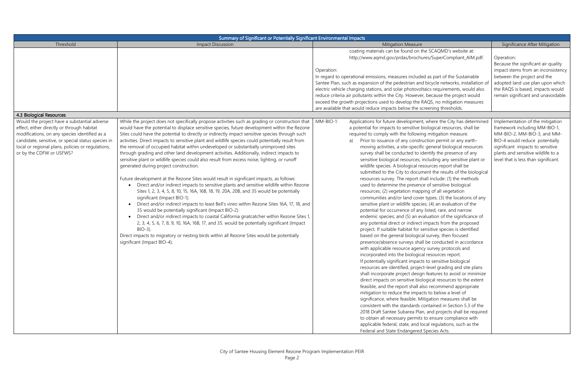| Summary of Significant or Potentially Significant Environmental Impacts                                                                                                                                                            |                                                                                                                                                                                                                                                                                                                                                                                                                                                                                                                                                                                                                                                                                                                                                                                                                                                                                                                                                                                                                                                                                                                                                                                                                                                                                                                                                                                                                                                      |            |                                                                                                                                                                                                                                                                                                                                                                                                                                                                                                                                                                                                                                                                                                                                                                                                                                                                                                                                                                                                                                                                                                                                                                                                                                                                                                                                                                                                                                                                                                                                                                                                                                                                                                                                                                                                                                                                                                                                                                                                              |                                                                                                                                                                                                                                       |
|------------------------------------------------------------------------------------------------------------------------------------------------------------------------------------------------------------------------------------|------------------------------------------------------------------------------------------------------------------------------------------------------------------------------------------------------------------------------------------------------------------------------------------------------------------------------------------------------------------------------------------------------------------------------------------------------------------------------------------------------------------------------------------------------------------------------------------------------------------------------------------------------------------------------------------------------------------------------------------------------------------------------------------------------------------------------------------------------------------------------------------------------------------------------------------------------------------------------------------------------------------------------------------------------------------------------------------------------------------------------------------------------------------------------------------------------------------------------------------------------------------------------------------------------------------------------------------------------------------------------------------------------------------------------------------------------|------------|--------------------------------------------------------------------------------------------------------------------------------------------------------------------------------------------------------------------------------------------------------------------------------------------------------------------------------------------------------------------------------------------------------------------------------------------------------------------------------------------------------------------------------------------------------------------------------------------------------------------------------------------------------------------------------------------------------------------------------------------------------------------------------------------------------------------------------------------------------------------------------------------------------------------------------------------------------------------------------------------------------------------------------------------------------------------------------------------------------------------------------------------------------------------------------------------------------------------------------------------------------------------------------------------------------------------------------------------------------------------------------------------------------------------------------------------------------------------------------------------------------------------------------------------------------------------------------------------------------------------------------------------------------------------------------------------------------------------------------------------------------------------------------------------------------------------------------------------------------------------------------------------------------------------------------------------------------------------------------------------------------------|---------------------------------------------------------------------------------------------------------------------------------------------------------------------------------------------------------------------------------------|
| Threshold                                                                                                                                                                                                                          | <b>Impact Discussion</b>                                                                                                                                                                                                                                                                                                                                                                                                                                                                                                                                                                                                                                                                                                                                                                                                                                                                                                                                                                                                                                                                                                                                                                                                                                                                                                                                                                                                                             |            | <b>Mitigation Measure</b>                                                                                                                                                                                                                                                                                                                                                                                                                                                                                                                                                                                                                                                                                                                                                                                                                                                                                                                                                                                                                                                                                                                                                                                                                                                                                                                                                                                                                                                                                                                                                                                                                                                                                                                                                                                                                                                                                                                                                                                    | Significance After Mitigation                                                                                                                                                                                                         |
| 4.3 Biological Resources                                                                                                                                                                                                           |                                                                                                                                                                                                                                                                                                                                                                                                                                                                                                                                                                                                                                                                                                                                                                                                                                                                                                                                                                                                                                                                                                                                                                                                                                                                                                                                                                                                                                                      | Operation: | coating materials can be found on the SCAQMD's website at:<br>http://www.aqmd.gov/prdas/brochures/SuperCompliant_AIM.pdf.<br>In regard to operational emissions, measures included as part of the Sustainable<br>Santee Plan, such as expansion of the pedestrian and bicycle networks, installation of<br>electric vehicle charging stations, and solar photovoltaics requirements, would also<br>reduce criteria air pollutants within the City. However, because the project would<br>exceed the growth projections used to develop the RAQS, no mitigation measures<br>are available that would reduce impacts below the screening thresholds.                                                                                                                                                                                                                                                                                                                                                                                                                                                                                                                                                                                                                                                                                                                                                                                                                                                                                                                                                                                                                                                                                                                                                                                                                                                                                                                                                           | Operation:<br>Because the significant air quality<br>impact stems from an inconsistency<br>between the project and the<br>adopted land use plan upon which<br>the RAQS is based, impacts would<br>remain significant and unavoidable. |
| Would the project have a substantial adverse                                                                                                                                                                                       | While the project does not specifically propose activities such as grading or construction that                                                                                                                                                                                                                                                                                                                                                                                                                                                                                                                                                                                                                                                                                                                                                                                                                                                                                                                                                                                                                                                                                                                                                                                                                                                                                                                                                      | MM-BIO-1:  | Applications for future development, where the City has determined                                                                                                                                                                                                                                                                                                                                                                                                                                                                                                                                                                                                                                                                                                                                                                                                                                                                                                                                                                                                                                                                                                                                                                                                                                                                                                                                                                                                                                                                                                                                                                                                                                                                                                                                                                                                                                                                                                                                           | Implementation of the mitigation                                                                                                                                                                                                      |
| effect, either directly or through habitat<br>modifications, on any species identified as a<br>candidate, sensitive, or special status species in<br>local or regional plans, policies or regulations,<br>or by the CDFW or USFWS? | would have the potential to displace sensitive species, future development within the Rezone<br>Sites could have the potential to directly or indirectly impact sensitive species through such<br>activities. Direct impacts to sensitive plant and wildlife species could potentially result from<br>the removal of occupied habitat within undeveloped or substantially unimproved sites<br>through grading and other land development activities. Additionally, indirect impacts to<br>sensitive plant or wildlife species could also result from excess noise, lighting, or runoff<br>generated during project construction.<br>Future development at the Rezone Sites would result in significant impacts, as follows:<br>Direct and/or indirect impacts to sensitive plants and sensitive wildlife within Rezone<br>Sites 1, 2, 3, 4, 5, 8, 10, 15, 16A, 16B, 18, 19, 20A, 20B, and 35 would be potentially<br>significant (Impact BIO-1).<br>Direct and/or indirect impacts to least Bell's vireo within Rezone Sites 16A, 17, 18, and<br>$\bullet$<br>35 would be potentially significant (Impact BIO-2).<br>Direct and/or indirect impacts to coastal California gnatcatcher within Rezone Sites 1,<br>2, 3, 4, 5, 6, 7, 8, 9, 10, 16A, 16B, 17, and 35. would be potentially significant (Impact<br>$BIO-3$ ).<br>Direct impacts to migratory or nesting birds within all Rezone Sites would be potentially<br>significant (Impact BIO-4). | a)         | a potential for impacts to sensitive biological resources, shall be<br>required to comply with the following mitigation measure.<br>Prior to issuance of any construction permit or any earth-<br>moving activities, a site-specific general biological resources<br>survey shall be conducted to identify the presence of any<br>sensitive biological resources, including any sensitive plant or<br>wildlife species. A biological resources report shall be<br>submitted to the City to document the results of the biological<br>resources survey. The report shall include: (1) the methods<br>used to determine the presence of sensitive biological<br>resources; (2) vegetation mapping of all vegetation<br>communities and/or land cover types; (3) the locations of any<br>sensitive plant or wildlife species; (4) an evaluation of the<br>potential for occurrence of any listed, rare, and narrow<br>endemic species; and (5) an evaluation of the significance of<br>any potential direct or indirect impacts from the proposed<br>project. If suitable habitat for sensitive species is identified<br>based on the general biological survey, then focused<br>presence/absence surveys shall be conducted in accordance<br>with applicable resource agency survey protocols and<br>incorporated into the biological resources report.<br>If potentially significant impacts to sensitive biological<br>resources are identified, project-level grading and site plans<br>shall incorporate project design features to avoid or minimize<br>direct impacts on sensitive biological resources to the extent<br>feasible, and the report shall also recommend appropriate<br>mitigation to reduce the impacts to below a level of<br>significance, where feasible. Mitigation measures shall be<br>consistent with the standards contained in Section 5.3 of the<br>2018 Draft Santee Subarea Plan, and projects shall be required<br>to obtain all necessary permits to ensure compliance with | framework including MM-BIO-1,<br>MM-BIO-2, MM-BIO-3, and MM-<br>BIO-4 would reduce potentially<br>significant impacts to sensitive<br>plants and sensitive wildlife to a<br>level that is less than significant.                      |
|                                                                                                                                                                                                                                    |                                                                                                                                                                                                                                                                                                                                                                                                                                                                                                                                                                                                                                                                                                                                                                                                                                                                                                                                                                                                                                                                                                                                                                                                                                                                                                                                                                                                                                                      |            | applicable federal, state, and local regulations, such as the<br>Federal and State Endangered Species Acts.                                                                                                                                                                                                                                                                                                                                                                                                                                                                                                                                                                                                                                                                                                                                                                                                                                                                                                                                                                                                                                                                                                                                                                                                                                                                                                                                                                                                                                                                                                                                                                                                                                                                                                                                                                                                                                                                                                  |                                                                                                                                                                                                                                       |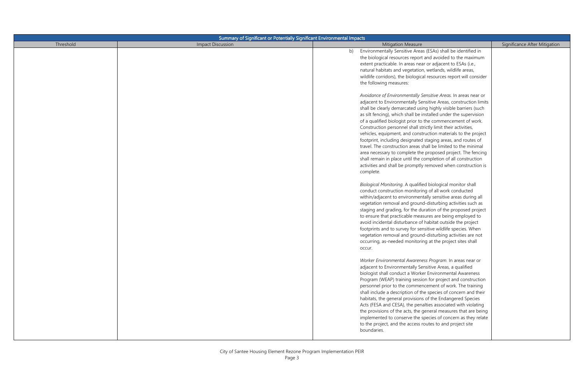| Threshold<br><b>Impact Discussion</b><br><b>Mitigation Measure</b><br>Significance After Mitigation<br>Environmentally Sensitive Areas (ESAs) shall be identified in<br>b)<br>the biological resources report and avoided to the maximum<br>extent practicable. In areas near or adjacent to ESAs (i.e.,<br>natural habitats and vegetation, wetlands, wildlife areas,<br>wildlife corridors), the biological resources report will consider                                                                                                                                                                                                                                                                                                                                                                                                                                                                                                                                                                                                                                                                                                                                                                                                                                                                                                                                                                                                                                                                                                                                                                                                                                                                                                                                                                                                                                                                                                                                                                                                                                                                                                                                                                                              |
|-------------------------------------------------------------------------------------------------------------------------------------------------------------------------------------------------------------------------------------------------------------------------------------------------------------------------------------------------------------------------------------------------------------------------------------------------------------------------------------------------------------------------------------------------------------------------------------------------------------------------------------------------------------------------------------------------------------------------------------------------------------------------------------------------------------------------------------------------------------------------------------------------------------------------------------------------------------------------------------------------------------------------------------------------------------------------------------------------------------------------------------------------------------------------------------------------------------------------------------------------------------------------------------------------------------------------------------------------------------------------------------------------------------------------------------------------------------------------------------------------------------------------------------------------------------------------------------------------------------------------------------------------------------------------------------------------------------------------------------------------------------------------------------------------------------------------------------------------------------------------------------------------------------------------------------------------------------------------------------------------------------------------------------------------------------------------------------------------------------------------------------------------------------------------------------------------------------------------------------------|
|                                                                                                                                                                                                                                                                                                                                                                                                                                                                                                                                                                                                                                                                                                                                                                                                                                                                                                                                                                                                                                                                                                                                                                                                                                                                                                                                                                                                                                                                                                                                                                                                                                                                                                                                                                                                                                                                                                                                                                                                                                                                                                                                                                                                                                           |
| the following measures:<br>Avoidance of Environmentally Sensitive Areas. In areas near or<br>adjacent to Environmentally Sensitive Areas, construction limits<br>shall be clearly demarcated using highly visible barriers (such<br>as silt fencing), which shall be installed under the supervision<br>of a qualified biologist prior to the commencement of work.<br>Construction personnel shall strictly limit their activities,<br>vehicles, equipment, and construction materials to the project<br>footprint, including designated staging areas, and routes of<br>travel. The construction areas shall be limited to the minimal<br>area necessary to complete the proposed project. The fencing<br>shall remain in place until the completion of all construction<br>activities and shall be promptly removed when construction is<br>complete.<br>Biological Monitoring. A qualified biological monitor shall<br>conduct construction monitoring of all work conducted<br>within/adjacent to environmentally sensitive areas during all<br>vegetation removal and ground-disturbing activities such as<br>staging and grading, for the duration of the proposed project<br>to ensure that practicable measures are being employed to<br>avoid incidental disturbance of habitat outside the project<br>footprints and to survey for sensitive wildlife species. When<br>vegetation removal and ground-disturbing activities are not<br>occurring, as-needed monitoring at the project sites shall<br>occur.<br>Worker Environmental Awareness Program. In areas near or<br>adjacent to Environmentally Sensitive Areas, a qualified<br>biologist shall conduct a Worker Environmental Awareness<br>Program (WEAP) training session for project and construction<br>personnel prior to the commencement of work. The training<br>shall include a description of the species of concern and their<br>habitats, the general provisions of the Endangered Species<br>Acts (FESA and CESA), the penalties associated with violating<br>the provisions of the acts, the general measures that are being<br>implemented to conserve the species of concern as they relate<br>to the project, and the access routes to and project site |
| boundaries.                                                                                                                                                                                                                                                                                                                                                                                                                                                                                                                                                                                                                                                                                                                                                                                                                                                                                                                                                                                                                                                                                                                                                                                                                                                                                                                                                                                                                                                                                                                                                                                                                                                                                                                                                                                                                                                                                                                                                                                                                                                                                                                                                                                                                               |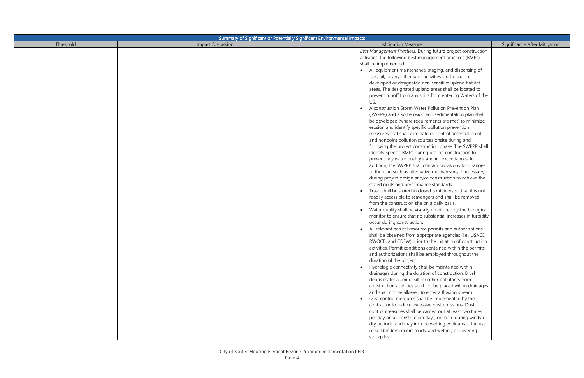| Summary of Significant or Potentially Significant Environmental Impacts |                          |                                                                                                                    |                               |
|-------------------------------------------------------------------------|--------------------------|--------------------------------------------------------------------------------------------------------------------|-------------------------------|
| Threshold                                                               | <b>Impact Discussion</b> | <b>Mitigation Measure</b>                                                                                          | Significance After Mitigation |
|                                                                         |                          | Best Management Practices. During future project construction                                                      |                               |
|                                                                         |                          | activities, the following best management practices (BMPs)                                                         |                               |
|                                                                         |                          | shall be implemented:                                                                                              |                               |
|                                                                         |                          | All equipment maintenance, staging, and dispensing of                                                              |                               |
|                                                                         |                          | fuel, oil, or any other such activities shall occur in                                                             |                               |
|                                                                         |                          | developed or designated non-sensitive upland habitat                                                               |                               |
|                                                                         |                          | areas. The designated upland areas shall be located to                                                             |                               |
|                                                                         |                          | prevent runoff from any spills from entering Waters of the                                                         |                               |
|                                                                         |                          | US.                                                                                                                |                               |
|                                                                         |                          | A construction Storm Water Pollution Prevention Plan                                                               |                               |
|                                                                         |                          | (SWPPP) and a soil erosion and sedimentation plan shall                                                            |                               |
|                                                                         |                          | be developed (where requirements are met) to minimize                                                              |                               |
|                                                                         |                          | erosion and identify specific pollution prevention                                                                 |                               |
|                                                                         |                          | measures that shall eliminate or control potential point                                                           |                               |
|                                                                         |                          | and nonpoint pollution sources onsite during and                                                                   |                               |
|                                                                         |                          | following the project construction phase. The SWPPP shall<br>identify specific BMPs during project construction to |                               |
|                                                                         |                          | prevent any water quality standard exceedances. In                                                                 |                               |
|                                                                         |                          | addition, the SWPPP shall contain provisions for changes                                                           |                               |
|                                                                         |                          | to the plan such as alternative mechanisms, if necessary,                                                          |                               |
|                                                                         |                          | during project design and/or construction to achieve the                                                           |                               |
|                                                                         |                          | stated goals and performance standards.                                                                            |                               |
|                                                                         |                          | Trash shall be stored in closed containers so that it is not                                                       |                               |
|                                                                         |                          | readily accessible to scavengers and shall be removed                                                              |                               |
|                                                                         |                          | from the construction site on a daily basis.                                                                       |                               |
|                                                                         |                          | Water quality shall be visually monitored by the biological                                                        |                               |
|                                                                         |                          | monitor to ensure that no substantial increases in turbidity                                                       |                               |
|                                                                         |                          | occur during construction.                                                                                         |                               |
|                                                                         |                          | All relevant natural resource permits and authorizations                                                           |                               |
|                                                                         |                          | shall be obtained from appropriate agencies (i.e., USACE,                                                          |                               |
|                                                                         |                          | RWQCB, and CDFW) prior to the initiation of construction                                                           |                               |
|                                                                         |                          | activities. Permit conditions contained within the permits                                                         |                               |
|                                                                         |                          | and authorizations shall be employed throughout the                                                                |                               |
|                                                                         |                          | duration of the project.                                                                                           |                               |
|                                                                         |                          | • Hydrologic connectivity shall be maintained within                                                               |                               |
|                                                                         |                          | drainages during the duration of construction. Brush,                                                              |                               |
|                                                                         |                          | debris material, mud, silt, or other pollutants from                                                               |                               |
|                                                                         |                          | construction activities shall not be placed within drainages                                                       |                               |
|                                                                         |                          | and shall not be allowed to enter a flowing stream.                                                                |                               |
|                                                                         |                          | • Dust control measures shall be implemented by the                                                                |                               |
|                                                                         |                          | contractor to reduce excessive dust emissions. Dust                                                                |                               |
|                                                                         |                          | control measures shall be carried out at least two times                                                           |                               |
|                                                                         |                          | per day on all construction days, or more during windy or                                                          |                               |
|                                                                         |                          | dry periods, and may include wetting work areas, the use                                                           |                               |
|                                                                         |                          | of soil binders on dirt roads, and wetting or covering                                                             |                               |
|                                                                         |                          | stockpiles.                                                                                                        |                               |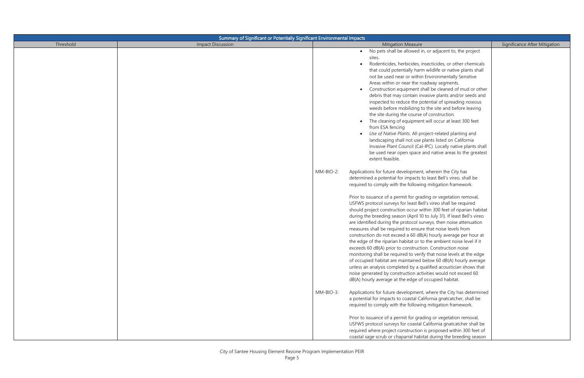| Summary of Significant or Potentially Significant Environmental Impacts |                          |                                                                                                                                                                                                                                                                                                                                                                                                                                                                                                                                                                                                                                                                                                                                                                                                                                                                                                                                                                                                                                                                                                                                                                                       |                               |
|-------------------------------------------------------------------------|--------------------------|---------------------------------------------------------------------------------------------------------------------------------------------------------------------------------------------------------------------------------------------------------------------------------------------------------------------------------------------------------------------------------------------------------------------------------------------------------------------------------------------------------------------------------------------------------------------------------------------------------------------------------------------------------------------------------------------------------------------------------------------------------------------------------------------------------------------------------------------------------------------------------------------------------------------------------------------------------------------------------------------------------------------------------------------------------------------------------------------------------------------------------------------------------------------------------------|-------------------------------|
| Threshold                                                               | <b>Impact Discussion</b> | <b>Mitigation Measure</b>                                                                                                                                                                                                                                                                                                                                                                                                                                                                                                                                                                                                                                                                                                                                                                                                                                                                                                                                                                                                                                                                                                                                                             | Significance After Mitigation |
|                                                                         |                          | • No pets shall be allowed in, or adjacent to, the project<br>sites.<br>Rodenticides, herbicides, insecticides, or other chemicals<br>that could potentially harm wildlife or native plants shall<br>not be used near or within Environmentally Sensitive<br>Areas within or near the roadway segments.<br>Construction equipment shall be cleaned of mud or other<br>debris that may contain invasive plants and/or seeds and<br>inspected to reduce the potential of spreading noxious<br>weeds before mobilizing to the site and before leaving<br>the site during the course of construction.<br>The cleaning of equipment will occur at least 300 feet<br>from ESA fencing<br>Use of Native Plants. All project-related planting and<br>landscaping shall not use plants listed on California<br>Invasive Plant Council (Cal-IPC). Locally native plants shall<br>be used near open space and native areas to the greatest<br>extent feasible.                                                                                                                                                                                                                                   |                               |
|                                                                         | MM-BIO-2:                | Applications for future development, wherein the City has<br>determined a potential for impacts to least Bell's vireo, shall be<br>required to comply with the following mitigation framework.<br>Prior to issuance of a permit for grading or vegetation removal,<br>USFWS protocol surveys for least Bell's vireo shall be required<br>should project construction occur within 300 feet of riparian habitat<br>during the breeding season (April 10 to July 31). If least Bell's vireo<br>are identified during the protocol surveys, then noise attenuation<br>measures shall be required to ensure that noise levels from<br>construction do not exceed a 60 dB(A) hourly average per hour at<br>the edge of the riparian habitat or to the ambient noise level if it<br>exceeds 60 dB(A) prior to construction. Construction noise<br>monitoring shall be required to verify that noise levels at the edge<br>of occupied habitat are maintained below 60 dB(A) hourly average<br>unless an analysis completed by a qualified acoustician shows that<br>noise generated by construction activities would not exceed 60<br>dB(A) hourly average at the edge of occupied habitat. |                               |
|                                                                         | MM-BIO-3:                | Applications for future development, where the City has determined<br>a potential for impacts to coastal California gnatcatcher, shall be<br>required to comply with the following mitigation framework.<br>Prior to issuance of a permit for grading or vegetation removal,<br>USFWS protocol surveys for coastal California gnatcatcher shall be<br>required where project construction is proposed within 300 feet of<br>coastal sage scrub or chaparral habitat during the breeding season                                                                                                                                                                                                                                                                                                                                                                                                                                                                                                                                                                                                                                                                                        |                               |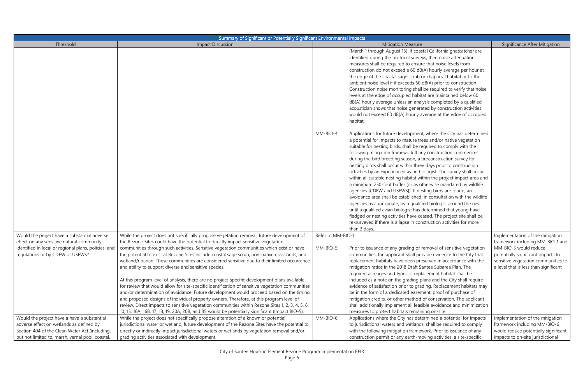| Summary of Significant or Potentially Significant Environmental Impacts                                                                                                                       |                                                                                                                                                                                                                                                                                                                                                                                                                                                                                                                                                                                                                                                                                                                                                                                                                                                                                                                                                                                                                                           |                   |                                                                                                                                                                                                                                                                                                                                                                                                                                                                                                                                                                                                                                                                                                                                                                                                                                                                                                                                                                                                                                                                                       |                                                                                                                                                                                 |
|-----------------------------------------------------------------------------------------------------------------------------------------------------------------------------------------------|-------------------------------------------------------------------------------------------------------------------------------------------------------------------------------------------------------------------------------------------------------------------------------------------------------------------------------------------------------------------------------------------------------------------------------------------------------------------------------------------------------------------------------------------------------------------------------------------------------------------------------------------------------------------------------------------------------------------------------------------------------------------------------------------------------------------------------------------------------------------------------------------------------------------------------------------------------------------------------------------------------------------------------------------|-------------------|---------------------------------------------------------------------------------------------------------------------------------------------------------------------------------------------------------------------------------------------------------------------------------------------------------------------------------------------------------------------------------------------------------------------------------------------------------------------------------------------------------------------------------------------------------------------------------------------------------------------------------------------------------------------------------------------------------------------------------------------------------------------------------------------------------------------------------------------------------------------------------------------------------------------------------------------------------------------------------------------------------------------------------------------------------------------------------------|---------------------------------------------------------------------------------------------------------------------------------------------------------------------------------|
| Threshold                                                                                                                                                                                     | <b>Impact Discussion</b>                                                                                                                                                                                                                                                                                                                                                                                                                                                                                                                                                                                                                                                                                                                                                                                                                                                                                                                                                                                                                  |                   | <b>Mitigation Measure</b>                                                                                                                                                                                                                                                                                                                                                                                                                                                                                                                                                                                                                                                                                                                                                                                                                                                                                                                                                                                                                                                             | Significance After Mitigation                                                                                                                                                   |
|                                                                                                                                                                                               |                                                                                                                                                                                                                                                                                                                                                                                                                                                                                                                                                                                                                                                                                                                                                                                                                                                                                                                                                                                                                                           |                   | (March 1 through August 15). If coastal California gnatcatcher are<br>identified during the protocol surveys, then noise attenuation<br>measures shall be required to ensure that noise levels from<br>construction do not exceed a 60 dB(A) hourly average per hour at<br>the edge of the coastal sage scrub or chaparral habitat or to the<br>ambient noise level if it exceeds 60 dB(A) prior to construction.<br>Construction noise monitoring shall be required to verify that noise<br>levels at the edge of occupied habitat are maintained below 60<br>dB(A) hourly average unless an analysis completed by a qualified<br>acoustician shows that noise generated by construction activities<br>would not exceed 60 dB(A) hourly average at the edge of occupied<br>habitat.                                                                                                                                                                                                                                                                                                  |                                                                                                                                                                                 |
|                                                                                                                                                                                               |                                                                                                                                                                                                                                                                                                                                                                                                                                                                                                                                                                                                                                                                                                                                                                                                                                                                                                                                                                                                                                           | MM-BIO-4:         | Applications for future development, where the City has determined<br>a potential for impacts to mature trees and/or native vegetation<br>suitable for nesting birds, shall be required to comply with the<br>following mitigation framework If any construction commences<br>during the bird breeding season, a preconstruction survey for<br>nesting birds shall occur within three days prior to construction<br>activities by an experienced avian biologist. The survey shall occur<br>within all suitable nesting habitat within the project impact area and<br>a minimum 250-foot buffer (or as otherwise mandated by wildlife<br>agencies [CDFW and USFWS]). If nesting birds are found, an<br>avoidance area shall be established, in consultation with the wildlife<br>agencies as appropriate, by a qualified biologist around the nest<br>until a qualified avian biologist has determined that young have<br>fledged or nesting activities have ceased. The project site shall be<br>re-surveyed if there is a lapse in construction activities for more<br>than 3 days. |                                                                                                                                                                                 |
| Would the project have a substantial adverse                                                                                                                                                  | While the project does not specifically propose vegetation removal, future development of                                                                                                                                                                                                                                                                                                                                                                                                                                                                                                                                                                                                                                                                                                                                                                                                                                                                                                                                                 | Refer to MM-BIO-1 |                                                                                                                                                                                                                                                                                                                                                                                                                                                                                                                                                                                                                                                                                                                                                                                                                                                                                                                                                                                                                                                                                       | Implementation of the mitigation                                                                                                                                                |
| effect on any sensitive natural community<br>identified in local or regional plans, policies, and<br>regulations or by CDFW or USFWS?                                                         | the Rezone Sites could have the potential to directly impact sensitive vegetation<br>communities through such activities. Sensitive vegetation communities which exist or have<br>the potential to exist at Rezone Sites include coastal sage scrub, non-native grasslands, and<br>wetland/riparian. These communities are considered sensitive due to their limited occurrence<br>and ability to support diverse and sensitive species.<br>At this program level of analysis, there are no project-specific development plans available<br>for review that would allow for site-specific identification of sensitive vegetation communities<br>and/or determination of avoidance. Future development would proceed based on the timing<br>and proposed designs of individual property owners. Therefore, at this program level of<br>review, Direct impacts to sensitive vegetation communities within Rezone Sites 1, 2, 3, 4, 5, 8,<br>10, 15, 16A, 16B, 17, 18, 19, 20A, 20B, and 35 would be potentially significant (Impact BIO-5). | MM-BIO-5          | Prior to issuance of any grading or removal of sensitive vegetation<br>communities, the applicant shall provide evidence to the City that<br>replacement habitats have been preserved in accordance with the<br>mitigation ratios in the 2018 Draft Santee Subarea Plan. The<br>required acreages and types of replacement habitat shall be<br>included as a note on the grading plans and the City shall require<br>evidence of satisfaction prior to grading. Replacement habitats may<br>be in the form of a dedicated easement, proof of purchase of<br>mitigation credits, or other method of conservation. The applicant<br>shall additionally implement all feasible avoidance and minimization<br>measures to protect habitats remaining on-site.                                                                                                                                                                                                                                                                                                                             | framework including MM-BIO-1 and<br>MM-BIO-5 would reduce<br>potentially significant impacts to<br>sensitive vegetation communities to<br>a level that is less than significant |
| Would the project have a have a substantial<br>adverse effect on wetlands as defined by<br>Section 404 of the Clean Water Act (including,<br>but not limited to, marsh, vernal pool, coastal, | While the project does not specifically propose alteration of a known or potential<br>jurisdictional water or wetland, future development of the Rezone Sites have the potential to<br>directly or indirectly impact jurisdictional waters or wetlands by vegetation removal and/or<br>grading activities associated with development.                                                                                                                                                                                                                                                                                                                                                                                                                                                                                                                                                                                                                                                                                                    | MM-BIO-6:         | Applications where the City has determined a potential for impacts<br>to jurisdictional waters and wetlands, shall be required to comply<br>with the following mitigation framework. Prior to issuance of any<br>construction permit or any earth-moving activities, a site-specific                                                                                                                                                                                                                                                                                                                                                                                                                                                                                                                                                                                                                                                                                                                                                                                                  | Implementation of the mitigation<br>framework including MM-BIO-6<br>would reduce potentially significant<br>impacts to on-site jurisdictional                                   |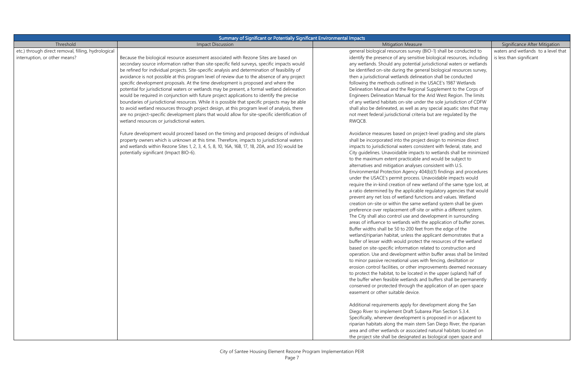| Summary of Significant or Potentially Significant Environmental Impacts              |                                                                                                                                                                                                                                                                                                                                                                                                                                                                                                                                                                                                                                                                                                                                                                                                                                                                                                                                                                                                                            |                                                                                                                                                                                                                                                                                                                                                                                                                                                                                                                                                                                                                                                                                                                                                                                                                                                                                                                                                                                                                                                                                                                                                                                                                                                                                                                                                                                                                                                                                                                                                                                                                                                                                                                                                                                                                                                                                                                                                                                                                                                                                                                                                                                                                            |                                                                 |
|--------------------------------------------------------------------------------------|----------------------------------------------------------------------------------------------------------------------------------------------------------------------------------------------------------------------------------------------------------------------------------------------------------------------------------------------------------------------------------------------------------------------------------------------------------------------------------------------------------------------------------------------------------------------------------------------------------------------------------------------------------------------------------------------------------------------------------------------------------------------------------------------------------------------------------------------------------------------------------------------------------------------------------------------------------------------------------------------------------------------------|----------------------------------------------------------------------------------------------------------------------------------------------------------------------------------------------------------------------------------------------------------------------------------------------------------------------------------------------------------------------------------------------------------------------------------------------------------------------------------------------------------------------------------------------------------------------------------------------------------------------------------------------------------------------------------------------------------------------------------------------------------------------------------------------------------------------------------------------------------------------------------------------------------------------------------------------------------------------------------------------------------------------------------------------------------------------------------------------------------------------------------------------------------------------------------------------------------------------------------------------------------------------------------------------------------------------------------------------------------------------------------------------------------------------------------------------------------------------------------------------------------------------------------------------------------------------------------------------------------------------------------------------------------------------------------------------------------------------------------------------------------------------------------------------------------------------------------------------------------------------------------------------------------------------------------------------------------------------------------------------------------------------------------------------------------------------------------------------------------------------------------------------------------------------------------------------------------------------------|-----------------------------------------------------------------|
| Threshold                                                                            | <b>Impact Discussion</b>                                                                                                                                                                                                                                                                                                                                                                                                                                                                                                                                                                                                                                                                                                                                                                                                                                                                                                                                                                                                   | <b>Mitigation Measure</b>                                                                                                                                                                                                                                                                                                                                                                                                                                                                                                                                                                                                                                                                                                                                                                                                                                                                                                                                                                                                                                                                                                                                                                                                                                                                                                                                                                                                                                                                                                                                                                                                                                                                                                                                                                                                                                                                                                                                                                                                                                                                                                                                                                                                  | Significance After Mitigation                                   |
| etc.) through direct removal, filling, hydrological<br>interruption, or other means? | Because the biological resource assessment associated with Rezone Sites are based on<br>secondary source information rather than site-specific field surveys, specific impacts would<br>be refined for individual projects. Site-specific analysis and determination of feasibility of<br>avoidance is not possible at this program level of review due to the absence of any project<br>specific development proposals. At the time development is proposed and where the<br>potential for jurisdictional waters or wetlands may be present, a formal wetland delineation<br>would be required in conjunction with future project applications to identify the precise<br>boundaries of jurisdictional resources. While it is possible that specific projects may be able<br>to avoid wetland resources through project design, at this program level of analysis, there<br>are no project-specific development plans that would allow for site-specific identification of<br>wetland resources or jurisdictional waters. | general biological resources survey (BIO-1) shall be conducted to<br>identify the presence of any sensitive biological resources, including<br>any wetlands. Should any potential jurisdictional waters or wetlands<br>be identified on-site during the general biological resources survey,<br>then a jurisdictional wetlands delineation shall be conducted<br>following the methods outlined in the USACE's 1987 Wetlands<br>Delineation Manual and the Regional Supplement to the Corps of<br>Engineers Delineation Manual for the Arid West Region. The limits<br>of any wetland habitats on-site under the sole jurisdiction of CDFW<br>shall also be delineated, as well as any special aquatic sites that may<br>not meet federal jurisdictional criteria but are regulated by the<br>RWQCB.                                                                                                                                                                                                                                                                                                                                                                                                                                                                                                                                                                                                                                                                                                                                                                                                                                                                                                                                                                                                                                                                                                                                                                                                                                                                                                                                                                                                                       | waters and wetlands to a level that<br>is less than significant |
|                                                                                      | Future development would proceed based on the timing and proposed designs of individual<br>property owners which is unknown at this time. Therefore, impacts to jurisdictional waters<br>and wetlands within Rezone Sites 1, 2, 3, 4, 5, 8, 10, 16A, 16B, 17, 18, 20A, and 35) would be<br>potentially significant (Impact BIO-6).                                                                                                                                                                                                                                                                                                                                                                                                                                                                                                                                                                                                                                                                                         | Avoidance measures based on project-level grading and site plans<br>shall be incorporated into the project design to minimize direct<br>impacts to jurisdictional waters consistent with federal, state, and<br>City guidelines. Unavoidable impacts to wetlands shall be minimized<br>to the maximum extent practicable and would be subject to<br>alternatives and mitigation analyses consistent with U.S.<br>Environmental Protection Agency 404(b)(1) findings and procedures<br>under the USACE's permit process. Unavoidable impacts would<br>require the in-kind creation of new wetland of the same type lost, at<br>a ratio determined by the applicable regulatory agencies that would<br>prevent any net loss of wetland functions and values. Wetland<br>creation on-site or within the same wetland system shall be given<br>preference over replacement off-site or within a different system.<br>The City shall also control use and development in surrounding<br>areas of influence to wetlands with the application of buffer zones.<br>Buffer widths shall be 50 to 200 feet from the edge of the<br>wetland/riparian habitat, unless the applicant demonstrates that a<br>buffer of lesser width would protect the resources of the wetland<br>based on site-specific information related to construction and<br>operation. Use and development within buffer areas shall be limited<br>to minor passive recreational uses with fencing, desiltation or<br>erosion control facilities, or other improvements deemed necessary<br>to protect the habitat, to be located in the upper (upland) half of<br>the buffer when feasible wetlands and buffers shall be permanently<br>conserved or protected through the application of an open space<br>easement or other suitable device.<br>Additional requirements apply for development along the San<br>Diego River to implement Draft Subarea Plan Section 5.3.4.<br>Specifically, wherever development is proposed in or adjacent to<br>riparian habitats along the main stem San Diego River, the riparian<br>area and other wetlands or associated natural habitats located on<br>the project site shall be designated as biological open space and |                                                                 |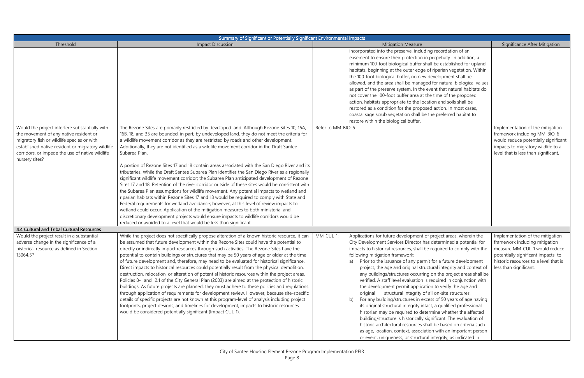| Summary of Significant or Potentially Significant Environmental Impacts                                                                                                                                                                                          |                                                                                                                                                                                                                                                                                                                                                                                                                                                                                                                                                                                                                                                                                                                                                                                                                                                                                                                                                                                                                                                                                                                                                                                                                                                                                                                                                    |                                                                                                                                                                                                                                                                                                                                                                                                                                                                                                                                                                                                                                                                                                                                                                                                                                                                                                                                                                                                                                                                                                                                                                    |                                                                                                                                                                                                              |  |
|------------------------------------------------------------------------------------------------------------------------------------------------------------------------------------------------------------------------------------------------------------------|----------------------------------------------------------------------------------------------------------------------------------------------------------------------------------------------------------------------------------------------------------------------------------------------------------------------------------------------------------------------------------------------------------------------------------------------------------------------------------------------------------------------------------------------------------------------------------------------------------------------------------------------------------------------------------------------------------------------------------------------------------------------------------------------------------------------------------------------------------------------------------------------------------------------------------------------------------------------------------------------------------------------------------------------------------------------------------------------------------------------------------------------------------------------------------------------------------------------------------------------------------------------------------------------------------------------------------------------------|--------------------------------------------------------------------------------------------------------------------------------------------------------------------------------------------------------------------------------------------------------------------------------------------------------------------------------------------------------------------------------------------------------------------------------------------------------------------------------------------------------------------------------------------------------------------------------------------------------------------------------------------------------------------------------------------------------------------------------------------------------------------------------------------------------------------------------------------------------------------------------------------------------------------------------------------------------------------------------------------------------------------------------------------------------------------------------------------------------------------------------------------------------------------|--------------------------------------------------------------------------------------------------------------------------------------------------------------------------------------------------------------|--|
| Threshold                                                                                                                                                                                                                                                        | Impact Discussion                                                                                                                                                                                                                                                                                                                                                                                                                                                                                                                                                                                                                                                                                                                                                                                                                                                                                                                                                                                                                                                                                                                                                                                                                                                                                                                                  | <b>Mitigation Measure</b>                                                                                                                                                                                                                                                                                                                                                                                                                                                                                                                                                                                                                                                                                                                                                                                                                                                                                                                                                                                                                                                                                                                                          | Significance After Mitigation                                                                                                                                                                                |  |
|                                                                                                                                                                                                                                                                  |                                                                                                                                                                                                                                                                                                                                                                                                                                                                                                                                                                                                                                                                                                                                                                                                                                                                                                                                                                                                                                                                                                                                                                                                                                                                                                                                                    | incorporated into the preserve, including recordation of an<br>easement to ensure their protection in perpetuity. In addition, a<br>minimum 100-foot biological buffer shall be established for upland<br>habitats, beginning at the outer edge of riparian vegetation. Within<br>the 100-foot biological buffer, no new development shall be<br>allowed, and the area shall be managed for natural biological values<br>as part of the preserve system. In the event that natural habitats do<br>not cover the 100-foot buffer area at the time of the proposed<br>action, habitats appropriate to the location and soils shall be<br>restored as a condition for the proposed action. In most cases,<br>coastal sage scrub vegetation shall be the preferred habitat to<br>restore within the biological buffer.                                                                                                                                                                                                                                                                                                                                                 |                                                                                                                                                                                                              |  |
| Would the project interfere substantially with<br>the movement of any native resident or<br>migratory fish or wildlife species or with<br>established native resident or migratory wildlife<br>corridors, or impede the use of native wildlife<br>nursery sites? | The Rezone Sites are primarily restricted by developed land. Although Rezone Sites 10, 16A,<br>16B, 18, and 35 are bounded, in part, by undeveloped land, they do not meet the criteria for<br>a wildlife movement corridor as they are restricted by roads and other development.<br>Additionally, they are not identified as a wildlife movement corridor in the Draft Santee<br>Subarea Plan.<br>A portion of Rezone Sites 17 and 18 contain areas associated with the San Diego River and its<br>tributaries. While the Draft Santee Subarea Plan identifies the San Diego River as a regionally<br>significant wildlife movement corridor; the Subarea Plan anticipated development of Rezone<br>Sites 17 and 18. Retention of the river corridor outside of these sites would be consistent with<br>the Subarea Plan assumptions for wildlife movement. Any potential impacts to wetland and<br>riparian habitats within Rezone Sites 17 and 18 would be required to comply with State and<br>Federal requirements for wetland avoidance; however, at this level of review impacts to<br>wetland could occur. Application of the mitigation measures to both ministerial and<br>discretionary development projects would ensure impacts to wildlife corridors would be<br>reduced or avoided to a level that would be less than significant. | Refer to MM-BIO-6.                                                                                                                                                                                                                                                                                                                                                                                                                                                                                                                                                                                                                                                                                                                                                                                                                                                                                                                                                                                                                                                                                                                                                 | Implementation of the mitigation<br>framework including MM-BIO-6<br>would reduce potentially significant<br>impacts to migratory wildlife to a<br>level that is less than significant.                       |  |
| 4.4 Cultural and Tribal Cultural Resources                                                                                                                                                                                                                       |                                                                                                                                                                                                                                                                                                                                                                                                                                                                                                                                                                                                                                                                                                                                                                                                                                                                                                                                                                                                                                                                                                                                                                                                                                                                                                                                                    |                                                                                                                                                                                                                                                                                                                                                                                                                                                                                                                                                                                                                                                                                                                                                                                                                                                                                                                                                                                                                                                                                                                                                                    |                                                                                                                                                                                                              |  |
| Would the project result in a substantial<br>adverse change in the significance of a<br>historical resource as defined in Section<br>15064.5?                                                                                                                    | While the project does not specifically propose alteration of a known historic resource, it can<br>be assumed that future development within the Rezone Sites could have the potential to<br>directly or indirectly impact resources through such activities. The Rezone Sites have the<br>potential to contain buildings or structures that may be 50 years of age or older at the time<br>of future development and, therefore, may need to be evaluated for historical significance.<br>Direct impacts to historical resources could potentially result from the physical demolition,<br>destruction, relocation, or alteration of potential historic resources within the project areas.<br>Policies 8-1 and 12.1 of the City General Plan (2003) are aimed at the protection of historic<br>buildings. As future projects are planned, they must adhere to these policies and regulations<br>through application of requirements for development review. However, because site-specific<br>details of specific projects are not known at this program-level of analysis including project<br>footprints, project designs, and timelines for development, impacts to historic resources<br>would be considered potentially significant (Impact CUL-1).                                                                                         | MM-CUL-1:<br>Applications for future development of project areas, wherein the<br>City Development Services Director has determined a potential for<br>impacts to historical resources, shall be required to comply with the<br>following mitigation framework:<br>Prior to the issuance of any permit for a future development<br>project, the age and original structural integrity and context of<br>any buildings/structures occurring on the project areas shall be<br>verified. A staff level evaluation is required in conjunction with<br>the development permit application to verify the age and<br>original structural integrity of all on-site structures.<br>For any building/structures in excess of 50 years of age having<br>b)<br>its original structural integrity intact, a qualified professional<br>historian may be required to determine whether the affected<br>building/structure is historically significant. The evaluation of<br>historic architectural resources shall be based on criteria such<br>as age, location, context, association with an important person<br>or event, uniqueness, or structural integrity, as indicated in | Implementation of the mitigation<br>framework including mitigation<br>measure MM-CUL-1 would reduce<br>potentially significant impacts to<br>historic resources to a level that is<br>less than significant. |  |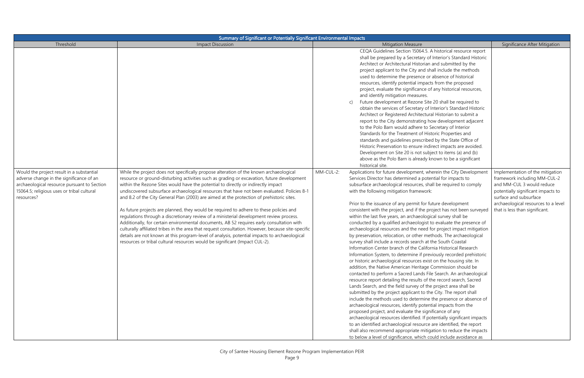| Summary of Significant or Potentially Significant Environmental Impacts                                                                                                                          |                                                                                                                                                                                                                                                                                                                                                                                                                                                                                                                                                                                                                                                                                                                                                                                                                                                                                                                                                                                                                                              |                                                                                                                                                                                                                                                                                                                                                                                                                                                                                                                                                                                                                                                                                                                                                                                                                                                                                                                                                                                                                                                                                                                                                                                                                                                                                                                                                                                                                                                                                                                                                                                                                                                                                                                                                                                                                                                                                                                                                                                                                                                                                                                                                                                                                                                                                                                                                                                                                                                                                                                                                                                                                                                                                                                                                                                                                                                                                                                                                                                     |                                                                                                                                                                                                                                        |  |
|--------------------------------------------------------------------------------------------------------------------------------------------------------------------------------------------------|----------------------------------------------------------------------------------------------------------------------------------------------------------------------------------------------------------------------------------------------------------------------------------------------------------------------------------------------------------------------------------------------------------------------------------------------------------------------------------------------------------------------------------------------------------------------------------------------------------------------------------------------------------------------------------------------------------------------------------------------------------------------------------------------------------------------------------------------------------------------------------------------------------------------------------------------------------------------------------------------------------------------------------------------|-------------------------------------------------------------------------------------------------------------------------------------------------------------------------------------------------------------------------------------------------------------------------------------------------------------------------------------------------------------------------------------------------------------------------------------------------------------------------------------------------------------------------------------------------------------------------------------------------------------------------------------------------------------------------------------------------------------------------------------------------------------------------------------------------------------------------------------------------------------------------------------------------------------------------------------------------------------------------------------------------------------------------------------------------------------------------------------------------------------------------------------------------------------------------------------------------------------------------------------------------------------------------------------------------------------------------------------------------------------------------------------------------------------------------------------------------------------------------------------------------------------------------------------------------------------------------------------------------------------------------------------------------------------------------------------------------------------------------------------------------------------------------------------------------------------------------------------------------------------------------------------------------------------------------------------------------------------------------------------------------------------------------------------------------------------------------------------------------------------------------------------------------------------------------------------------------------------------------------------------------------------------------------------------------------------------------------------------------------------------------------------------------------------------------------------------------------------------------------------------------------------------------------------------------------------------------------------------------------------------------------------------------------------------------------------------------------------------------------------------------------------------------------------------------------------------------------------------------------------------------------------------------------------------------------------------------------------------------------------|----------------------------------------------------------------------------------------------------------------------------------------------------------------------------------------------------------------------------------------|--|
| Threshold                                                                                                                                                                                        | <b>Impact Discussion</b>                                                                                                                                                                                                                                                                                                                                                                                                                                                                                                                                                                                                                                                                                                                                                                                                                                                                                                                                                                                                                     | <b>Mitigation Measure</b>                                                                                                                                                                                                                                                                                                                                                                                                                                                                                                                                                                                                                                                                                                                                                                                                                                                                                                                                                                                                                                                                                                                                                                                                                                                                                                                                                                                                                                                                                                                                                                                                                                                                                                                                                                                                                                                                                                                                                                                                                                                                                                                                                                                                                                                                                                                                                                                                                                                                                                                                                                                                                                                                                                                                                                                                                                                                                                                                                           | Significance After Mitigation                                                                                                                                                                                                          |  |
| Would the project result in a substantial<br>adverse change in the significance of an<br>archaeological resource pursuant to Section<br>15064.5; religious uses or tribal cultural<br>resources? | While the project does not specifically propose alteration of the known archaeological<br>resource or ground-disturbing activities such as grading or excavation, future development<br>within the Rezone Sites would have the potential to directly or indirectly impact<br>undiscovered subsurface archaeological resources that have not been evaluated. Policies 8-1<br>and 8.2 of the City General Plan (2003) are aimed at the protection of prehistoric sites.<br>As future projects are planned, they would be required to adhere to these policies and<br>regulations through a discretionary review of a ministerial development review process.<br>Additionally, for certain environmental documents, AB 52 requires early consultation with<br>culturally affiliated tribes in the area that request consultation. However, because site-specific<br>details are not known at this program-level of analysis, potential impacts to archaeological<br>resources or tribal cultural resources would be significant (Impact CUL-2). | CEQA Guidelines Section 15064.5. A historical resource report<br>shall be prepared by a Secretary of Interior's Standard Historic<br>Architect or Architectural Historian and submitted by the<br>project applicant to the City and shall include the methods<br>used to determine the presence or absence of historical<br>resources, identify potential impacts from the proposed<br>project, evaluate the significance of any historical resources,<br>and identify mitigation measures.<br>Future development at Rezone Site 20 shall be required to<br>obtain the services of Secretary of Interior's Standard Historic<br>Architect or Registered Architectural Historian to submit a<br>report to the City demonstrating how development adjacent<br>to the Polo Barn would adhere to Secretary of Interior<br>Standards for the Treatment of Historic Properties and<br>standards and quidelines prescribed by the State Office of<br>Historic Preservation to ensure indirect impacts are avoided.<br>Development on Site 20 is not subject to items (a) and (b)<br>above as the Polo Barn is already known to be a significant<br>historical site.<br>Applications for future development, wherein the City Development<br>MM-CUL-2:<br>Services Director has determined a potential for impacts to<br>subsurface archaeological resources, shall be required to comply<br>with the following mitigation framework:<br>Prior to the issuance of any permit for future development<br>consistent with the project, and if the project has not been surveyed<br>within the last five years, an archaeological survey shall be<br>conducted by a qualified archaeologist to evaluate the presence of<br>archaeological resources and the need for project impact mitigation<br>by preservation, relocation, or other methods. The archaeological<br>survey shall include a records search at the South Coastal<br>Information Center branch of the California Historical Research<br>Information System, to determine if previously recorded prehistoric<br>or historic archaeological resources exist on the housing site. In<br>addition, the Native American Heritage Commission should be<br>contacted to perform a Sacred Lands File Search. An archaeological<br>resource report detailing the results of the record search, Sacred<br>Lands Search, and the field survey of the project area shall be<br>submitted by the project applicant to the City. The report shall<br>include the methods used to determine the presence or absence of<br>archaeological resources, identify potential impacts from the<br>proposed project, and evaluate the significance of any<br>archaeological resources identified. If potentially significant impacts<br>to an identified archaeological resource are identified, the report<br>shall also recommend appropriate mitigation to reduce the impacts<br>to below a level of significance, which could include avoidance as | Implementation of the mitigation<br>framework including MM-CUL-2<br>and MM-CUL 3 would reduce<br>potentially significant impacts to<br>surface and subsurface<br>archaeological resources to a level<br>that is less than significant. |  |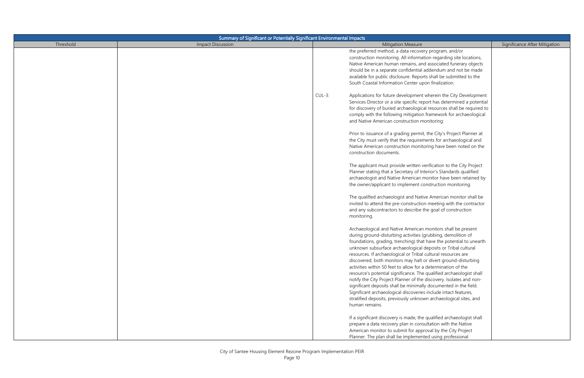| Summary of Significant or Potentially Significant Environmental Impacts |                          |           |                                                                        |                               |
|-------------------------------------------------------------------------|--------------------------|-----------|------------------------------------------------------------------------|-------------------------------|
| Threshold                                                               | <b>Impact Discussion</b> |           | <b>Mitigation Measure</b>                                              | Significance After Mitigation |
|                                                                         |                          |           | the preferred method, a data recovery program, and/or                  |                               |
|                                                                         |                          |           | construction monitoring. All information regarding site locations,     |                               |
|                                                                         |                          |           | Native American human remains, and associated funerary objects         |                               |
|                                                                         |                          |           | should be in a separate confidential addendum and not be made          |                               |
|                                                                         |                          |           | available for public disclosure. Reports shall be submitted to the     |                               |
|                                                                         |                          |           | South Coastal Information Center upon finalization.                    |                               |
|                                                                         |                          |           |                                                                        |                               |
|                                                                         |                          | $CUL-3$ : | Applications for future development wherein the City Development       |                               |
|                                                                         |                          |           | Services Director or a site specific report has determined a potential |                               |
|                                                                         |                          |           | for discovery of buried archaeological resources shall be required to  |                               |
|                                                                         |                          |           | comply with the following mitigation framework for archaeological      |                               |
|                                                                         |                          |           | and Native American construction monitoring:                           |                               |
|                                                                         |                          |           |                                                                        |                               |
|                                                                         |                          |           | Prior to issuance of a grading permit, the City's Project Planner at   |                               |
|                                                                         |                          |           | the City must verify that the requirements for archaeological and      |                               |
|                                                                         |                          |           | Native American construction monitoring have been noted on the         |                               |
|                                                                         |                          |           | construction documents.                                                |                               |
|                                                                         |                          |           |                                                                        |                               |
|                                                                         |                          |           | The applicant must provide written verification to the City Project    |                               |
|                                                                         |                          |           | Planner stating that a Secretary of Interior's Standards qualified     |                               |
|                                                                         |                          |           | archaeologist and Native American monitor have been retained by        |                               |
|                                                                         |                          |           | the owner/applicant to implement construction monitoring.              |                               |
|                                                                         |                          |           |                                                                        |                               |
|                                                                         |                          |           | The qualified archaeologist and Native American monitor shall be       |                               |
|                                                                         |                          |           | invited to attend the pre-construction meeting with the contractor     |                               |
|                                                                         |                          |           | and any subcontractors to describe the goal of construction            |                               |
|                                                                         |                          |           | monitoring.                                                            |                               |
|                                                                         |                          |           |                                                                        |                               |
|                                                                         |                          |           | Archaeological and Native American monitors shall be present           |                               |
|                                                                         |                          |           | during ground-disturbing activities (grubbing, demolition of           |                               |
|                                                                         |                          |           | foundations, grading, trenching) that have the potential to unearth    |                               |
|                                                                         |                          |           | unknown subsurface archaeological deposits or Tribal cultural          |                               |
|                                                                         |                          |           | resources. If archaeological or Tribal cultural resources are          |                               |
|                                                                         |                          |           | discovered, both monitors may halt or divert ground-disturbing         |                               |
|                                                                         |                          |           | activities within 50 feet to allow for a determination of the          |                               |
|                                                                         |                          |           | resource's potential significance. The qualified archaeologist shall   |                               |
|                                                                         |                          |           | notify the City Project Planner of the discovery. Isolates and non-    |                               |
|                                                                         |                          |           | significant deposits shall be minimally documented in the field.       |                               |
|                                                                         |                          |           | Significant archaeological discoveries include intact features,        |                               |
|                                                                         |                          |           | stratified deposits, previously unknown archaeological sites, and      |                               |
|                                                                         |                          |           | human remains.                                                         |                               |
|                                                                         |                          |           |                                                                        |                               |
|                                                                         |                          |           | If a significant discovery is made, the qualified archaeologist shall  |                               |
|                                                                         |                          |           | prepare a data recovery plan in consultation with the Native           |                               |
|                                                                         |                          |           | American monitor to submit for approval by the City Project            |                               |
|                                                                         |                          |           | Planner. The plan shall be implemented using professional              |                               |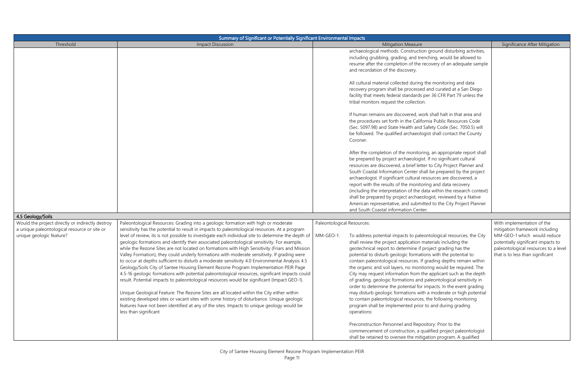| Summary of Significant or Potentially Significant Environmental Impacts                                                      |                                                                                                                                                                                                                                                                                                                                                                                                                                                                                                                                                                                                                                                                                                                                                                                                                                                                                                                                                                                                                                                                                                                                                                                                                                                                                                       |                                         |                                                                                                                                                                                                                                                                                                                                                                                                                                                                                                                                                                                                                                                                                                                                                                                                                                                                                                              |                                                                                                                                                                                                               |
|------------------------------------------------------------------------------------------------------------------------------|-------------------------------------------------------------------------------------------------------------------------------------------------------------------------------------------------------------------------------------------------------------------------------------------------------------------------------------------------------------------------------------------------------------------------------------------------------------------------------------------------------------------------------------------------------------------------------------------------------------------------------------------------------------------------------------------------------------------------------------------------------------------------------------------------------------------------------------------------------------------------------------------------------------------------------------------------------------------------------------------------------------------------------------------------------------------------------------------------------------------------------------------------------------------------------------------------------------------------------------------------------------------------------------------------------|-----------------------------------------|--------------------------------------------------------------------------------------------------------------------------------------------------------------------------------------------------------------------------------------------------------------------------------------------------------------------------------------------------------------------------------------------------------------------------------------------------------------------------------------------------------------------------------------------------------------------------------------------------------------------------------------------------------------------------------------------------------------------------------------------------------------------------------------------------------------------------------------------------------------------------------------------------------------|---------------------------------------------------------------------------------------------------------------------------------------------------------------------------------------------------------------|
| Threshold                                                                                                                    | <b>Impact Discussion</b>                                                                                                                                                                                                                                                                                                                                                                                                                                                                                                                                                                                                                                                                                                                                                                                                                                                                                                                                                                                                                                                                                                                                                                                                                                                                              |                                         | <b>Mitigation Measure</b>                                                                                                                                                                                                                                                                                                                                                                                                                                                                                                                                                                                                                                                                                                                                                                                                                                                                                    | Significance After Mitigation                                                                                                                                                                                 |
|                                                                                                                              |                                                                                                                                                                                                                                                                                                                                                                                                                                                                                                                                                                                                                                                                                                                                                                                                                                                                                                                                                                                                                                                                                                                                                                                                                                                                                                       |                                         | archaeological methods. Construction ground disturbing activities,<br>including grubbing, grading, and trenching, would be allowed to<br>resume after the completion of the recovery of an adequate sample<br>and recordation of the discovery.                                                                                                                                                                                                                                                                                                                                                                                                                                                                                                                                                                                                                                                              |                                                                                                                                                                                                               |
|                                                                                                                              |                                                                                                                                                                                                                                                                                                                                                                                                                                                                                                                                                                                                                                                                                                                                                                                                                                                                                                                                                                                                                                                                                                                                                                                                                                                                                                       |                                         | All cultural material collected during the monitoring and data<br>recovery program shall be processed and curated at a San Diego<br>facility that meets federal standards per 36 CFR Part 79 unless the<br>tribal monitors request the collection.                                                                                                                                                                                                                                                                                                                                                                                                                                                                                                                                                                                                                                                           |                                                                                                                                                                                                               |
|                                                                                                                              |                                                                                                                                                                                                                                                                                                                                                                                                                                                                                                                                                                                                                                                                                                                                                                                                                                                                                                                                                                                                                                                                                                                                                                                                                                                                                                       |                                         | If human remains are discovered, work shall halt in that area and<br>the procedures set forth in the California Public Resources Code<br>(Sec. 5097.98) and State Health and Safety Code (Sec. 7050.5) will<br>be followed. The qualified archaeologist shall contact the County<br>Coroner.                                                                                                                                                                                                                                                                                                                                                                                                                                                                                                                                                                                                                 |                                                                                                                                                                                                               |
|                                                                                                                              |                                                                                                                                                                                                                                                                                                                                                                                                                                                                                                                                                                                                                                                                                                                                                                                                                                                                                                                                                                                                                                                                                                                                                                                                                                                                                                       |                                         | After the completion of the monitoring, an appropriate report shall<br>be prepared by project archaeologist. If no significant cultural<br>resources are discovered, a brief letter to City Project Planner and<br>South Coastal Information Center shall be prepared by the project<br>archaeologist. If significant cultural resources are discovered, a<br>report with the results of the monitoring and data recovery<br>(including the interpretation of the data within the research context)<br>shall be prepared by project archaeologist, reviewed by a Native<br>American representative, and submitted to the City Project Planner<br>and South Coastal information Center.                                                                                                                                                                                                                       |                                                                                                                                                                                                               |
| 4.5 Geology/Soils                                                                                                            |                                                                                                                                                                                                                                                                                                                                                                                                                                                                                                                                                                                                                                                                                                                                                                                                                                                                                                                                                                                                                                                                                                                                                                                                                                                                                                       |                                         |                                                                                                                                                                                                                                                                                                                                                                                                                                                                                                                                                                                                                                                                                                                                                                                                                                                                                                              |                                                                                                                                                                                                               |
| Would the project directly or indirectly destroy<br>a unique paleontological resource or site or<br>unique geologic feature? | Paleontological Resources: Grading into a geologic formation with high or moderate<br>sensitivity has the potential to result in impacts to paleontological resources. At a program<br>level of review, its is not possible to investigate each individual site to determine the depth of<br>geologic formations and identify their associated paleontological sensitivity. For example,<br>while the Rezone Sites are not located on formations with High Sensitivity (Friars and Mission<br>Valley Formation), they could underly formations with moderate sensitivity. If grading were<br>to occur at depths sufficient to disturb a moderate sensitivity 4.0 Environmental Analysis 4.5<br>Geology/Soils City of Santee Housing Element Rezone Program Implementation PEIR Page<br>4.5-16 geologic formations with potential paleontological resources, significant impacts could<br>result. Potential impacts to paleontological resources would be significant (Impact GEO-1).<br>Unique Geological Feature: The Rezone Sites are all located within the City either within<br>existing developed sites or vacant sites with some history of disturbance. Unique geologic<br>features have not been identified at any of the sites. Impacts to unique geology would be<br>less than significant | Paleontological Resources:<br>MM-GEO-1: | To address potential impacts to paleontological resources, the City<br>shall review the project application materials including the<br>geotechnical report to determine if project grading has the<br>potential to disturb geologic formations with the potential to<br>contain paleontological resources. If grading depths remain within<br>the organic and soil layers, no monitoring would be required. The<br>City may request information from the applicant such as the depth<br>of grading, geologic formations and paleontological sensitivity in<br>order to determine the potential for impacts. In the event grading<br>may disturb geologic formations with a moderate or high potential<br>to contain paleontological resources, the following monitoring<br>program shall be implemented prior to and during grading<br>operations:<br>Preconstruction Personnel and Repository: Prior to the | With implementation of the<br>mitigation framework including<br>MM-GEO-1 which would reduce<br>potentially significant impacts to<br>paleontological resources to a level<br>that is to less than significant |
|                                                                                                                              |                                                                                                                                                                                                                                                                                                                                                                                                                                                                                                                                                                                                                                                                                                                                                                                                                                                                                                                                                                                                                                                                                                                                                                                                                                                                                                       |                                         | commencement of construction, a qualified project paleontologist<br>shall be retained to oversee the mitigation program. A qualified                                                                                                                                                                                                                                                                                                                                                                                                                                                                                                                                                                                                                                                                                                                                                                         |                                                                                                                                                                                                               |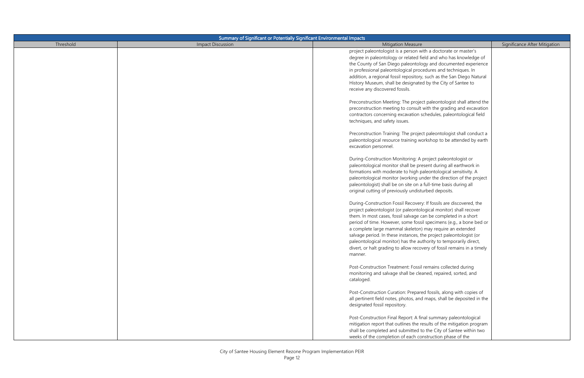| Summary of Significant or Potentially Significant Environmental Impacts |                          |                                                                                                                                          |                               |
|-------------------------------------------------------------------------|--------------------------|------------------------------------------------------------------------------------------------------------------------------------------|-------------------------------|
| Threshold                                                               | <b>Impact Discussion</b> | <b>Mitigation Measure</b>                                                                                                                | Significance After Mitigation |
|                                                                         |                          | project paleontologist is a person with a doctorate or master's                                                                          |                               |
|                                                                         |                          | degree in paleontology or related field and who has knowledge of                                                                         |                               |
|                                                                         |                          | the County of San Diego paleontology and documented experience                                                                           |                               |
|                                                                         |                          | in professional paleontological procedures and techniques. In                                                                            |                               |
|                                                                         |                          | addition, a regional fossil repository, such as the San Diego Natural                                                                    |                               |
|                                                                         |                          | History Museum, shall be designated by the City of Santee to                                                                             |                               |
|                                                                         |                          | receive any discovered fossils.                                                                                                          |                               |
|                                                                         |                          |                                                                                                                                          |                               |
|                                                                         |                          | Preconstruction Meeting: The project paleontologist shall attend the                                                                     |                               |
|                                                                         |                          | preconstruction meeting to consult with the grading and excavation<br>contractors concerning excavation schedules, paleontological field |                               |
|                                                                         |                          | techniques, and safety issues.                                                                                                           |                               |
|                                                                         |                          |                                                                                                                                          |                               |
|                                                                         |                          | Preconstruction Training: The project paleontologist shall conduct a                                                                     |                               |
|                                                                         |                          | paleontological resource training workshop to be attended by earth                                                                       |                               |
|                                                                         |                          | excavation personnel.                                                                                                                    |                               |
|                                                                         |                          |                                                                                                                                          |                               |
|                                                                         |                          | During-Construction Monitoring: A project paleontologist or                                                                              |                               |
|                                                                         |                          | paleontological monitor shall be present during all earthwork in                                                                         |                               |
|                                                                         |                          | formations with moderate to high paleontological sensitivity. A                                                                          |                               |
|                                                                         |                          | paleontological monitor (working under the direction of the project                                                                      |                               |
|                                                                         |                          | paleontologist) shall be on site on a full-time basis during all                                                                         |                               |
|                                                                         |                          | original cutting of previously undisturbed deposits.                                                                                     |                               |
|                                                                         |                          |                                                                                                                                          |                               |
|                                                                         |                          | During-Construction Fossil Recovery: If fossils are discovered, the                                                                      |                               |
|                                                                         |                          | project paleontologist (or paleontological monitor) shall recover                                                                        |                               |
|                                                                         |                          | them. In most cases, fossil salvage can be completed in a short<br>period of time. However, some fossil specimens (e.g., a bone bed or   |                               |
|                                                                         |                          | a complete large mammal skeleton) may require an extended                                                                                |                               |
|                                                                         |                          | salvage period. In these instances, the project paleontologist (or                                                                       |                               |
|                                                                         |                          | paleontological monitor) has the authority to temporarily direct,                                                                        |                               |
|                                                                         |                          | divert, or halt grading to allow recovery of fossil remains in a timely                                                                  |                               |
|                                                                         |                          | manner.                                                                                                                                  |                               |
|                                                                         |                          |                                                                                                                                          |                               |
|                                                                         |                          | Post-Construction Treatment: Fossil remains collected during                                                                             |                               |
|                                                                         |                          | monitoring and salvage shall be cleaned, repaired, sorted, and                                                                           |                               |
|                                                                         |                          | cataloged.                                                                                                                               |                               |
|                                                                         |                          |                                                                                                                                          |                               |
|                                                                         |                          | Post-Construction Curation: Prepared fossils, along with copies of                                                                       |                               |
|                                                                         |                          | all pertinent field notes, photos, and maps, shall be deposited in the                                                                   |                               |
|                                                                         |                          | designated fossil repository.                                                                                                            |                               |
|                                                                         |                          | Post-Construction Final Report: A final summary paleontological                                                                          |                               |
|                                                                         |                          | mitigation report that outlines the results of the mitigation program                                                                    |                               |
|                                                                         |                          | shall be completed and submitted to the City of Santee within two                                                                        |                               |
|                                                                         |                          | weeks of the completion of each construction phase of the                                                                                |                               |
|                                                                         |                          |                                                                                                                                          |                               |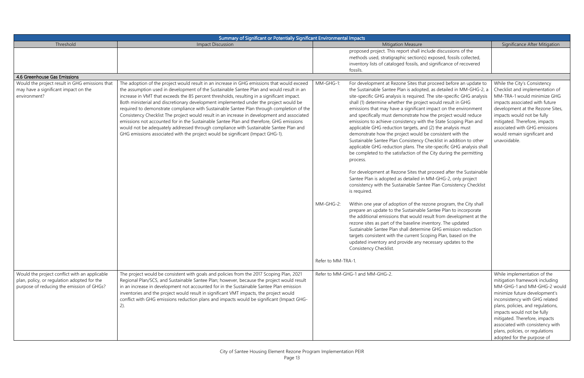| Summary of Significant or Potentially Significant Environmental Impacts                                |                                                                                                                                                                                                                                                                                                                                                                                                                                                                                                                                                                                                                                                                                                                                                                                                                                                 |                        |                                                                                                                                                                                                                                                                                                                                                                                                                                                                                                                                                                                                                                                                                                                                                                                                                                                                                                                                                                                                                                                                                                                                                                                                                         |                                                                                                                                                                                                                                                                                                                                           |
|--------------------------------------------------------------------------------------------------------|-------------------------------------------------------------------------------------------------------------------------------------------------------------------------------------------------------------------------------------------------------------------------------------------------------------------------------------------------------------------------------------------------------------------------------------------------------------------------------------------------------------------------------------------------------------------------------------------------------------------------------------------------------------------------------------------------------------------------------------------------------------------------------------------------------------------------------------------------|------------------------|-------------------------------------------------------------------------------------------------------------------------------------------------------------------------------------------------------------------------------------------------------------------------------------------------------------------------------------------------------------------------------------------------------------------------------------------------------------------------------------------------------------------------------------------------------------------------------------------------------------------------------------------------------------------------------------------------------------------------------------------------------------------------------------------------------------------------------------------------------------------------------------------------------------------------------------------------------------------------------------------------------------------------------------------------------------------------------------------------------------------------------------------------------------------------------------------------------------------------|-------------------------------------------------------------------------------------------------------------------------------------------------------------------------------------------------------------------------------------------------------------------------------------------------------------------------------------------|
| Threshold                                                                                              | <b>Impact Discussion</b>                                                                                                                                                                                                                                                                                                                                                                                                                                                                                                                                                                                                                                                                                                                                                                                                                        |                        | <b>Mitigation Measure</b>                                                                                                                                                                                                                                                                                                                                                                                                                                                                                                                                                                                                                                                                                                                                                                                                                                                                                                                                                                                                                                                                                                                                                                                               | Significance After Mitigation                                                                                                                                                                                                                                                                                                             |
|                                                                                                        |                                                                                                                                                                                                                                                                                                                                                                                                                                                                                                                                                                                                                                                                                                                                                                                                                                                 |                        | proposed project. This report shall include discussions of the<br>methods used, stratigraphic section(s) exposed, fossils collected,<br>inventory lists of cataloged fossils, and significance of recovered<br>fossils.                                                                                                                                                                                                                                                                                                                                                                                                                                                                                                                                                                                                                                                                                                                                                                                                                                                                                                                                                                                                 |                                                                                                                                                                                                                                                                                                                                           |
| 4.6 Greenhouse Gas Emissions                                                                           |                                                                                                                                                                                                                                                                                                                                                                                                                                                                                                                                                                                                                                                                                                                                                                                                                                                 |                        |                                                                                                                                                                                                                                                                                                                                                                                                                                                                                                                                                                                                                                                                                                                                                                                                                                                                                                                                                                                                                                                                                                                                                                                                                         |                                                                                                                                                                                                                                                                                                                                           |
| Would the project result in GHG emissions that<br>may have a significant impact on the<br>environment? | The adoption of the project would result in an increase in GHG emissions that would exceed<br>the assumption used in development of the Sustainable Santee Plan and would result in an<br>increase in VMT that exceeds the 85 percent thresholds, resulting in a significant impact.<br>Both ministerial and discretionary development implemented under the project would be<br>required to demonstrate compliance with Sustainable Santee Plan through completion of the<br>Consistency Checklist The project would result in an increase in development and associated<br>emissions not accounted for in the Sustainable Santee Plan and therefore, GHG emissions<br>would not be adequately addressed through compliance with Sustainable Santee Plan and<br>GHG emissions associated with the project would be significant (Impact GHG-1). | MM-GHG-1:<br>MM-GHG-2: | For development at Rezone Sites that proceed before an update to<br>the Sustainable Santee Plan is adopted, as detailed in MM-GHG-2, a<br>site-specific GHG analysis is required. The site-specific GHG analysis<br>shall (1) determine whether the project would result in GHG<br>emissions that may have a significant impact on the environment<br>and specifically must demonstrate how the project would reduce<br>emissions to achieve consistency with the State Scoping Plan and<br>applicable GHG reduction targets, and (2) the analysis must<br>demonstrate how the project would be consistent with the<br>Sustainable Santee Plan Consistency Checklist in addition to other<br>applicable GHG reduction plans. The site-specific GHG analysis shall<br>be completed to the satisfaction of the City during the permitting<br>process.<br>For development at Rezone Sites that proceed after the Sustainable<br>Santee Plan is adopted as detailed in MM-GHG-2, only project<br>consistency with the Sustainable Santee Plan Consistency Checklist<br>is required.<br>Within one year of adoption of the rezone program, the City shall<br>prepare an update to the Sustainable Santee Plan to incorporate | While the City's Consistency<br>Checklist and implementation of<br>MM-TRA-1 would minimize GHG<br>impacts associated with future<br>development at the Rezone Sites,<br>impacts would not be fully<br>mitigated. Therefore, impacts<br>associated with GHG emissions<br>would remain significant and<br>unavoidable.                      |
|                                                                                                        |                                                                                                                                                                                                                                                                                                                                                                                                                                                                                                                                                                                                                                                                                                                                                                                                                                                 | Refer to MM-TRA-1.     | the additional emissions that would result from development at the<br>rezone sites as part of the baseline inventory. The updated<br>Sustainable Santee Plan shall determine GHG emission reduction<br>targets consistent with the current Scoping Plan, based on the<br>updated inventory and provide any necessary updates to the<br>Consistency Checklist.                                                                                                                                                                                                                                                                                                                                                                                                                                                                                                                                                                                                                                                                                                                                                                                                                                                           |                                                                                                                                                                                                                                                                                                                                           |
| Would the project conflict with an applicable                                                          | The project would be consistent with goals and policies from the 2017 Scoping Plan, 2021                                                                                                                                                                                                                                                                                                                                                                                                                                                                                                                                                                                                                                                                                                                                                        |                        | Refer to MM-GHG-1 and MM-GHG-2.                                                                                                                                                                                                                                                                                                                                                                                                                                                                                                                                                                                                                                                                                                                                                                                                                                                                                                                                                                                                                                                                                                                                                                                         | While implementation of the                                                                                                                                                                                                                                                                                                               |
| plan, policy, or regulation adopted for the<br>purpose of reducing the emission of GHGs?               | Regional Plan/SCS, and Sustainable Santee Plan; however, because the project would result<br>in an increase in development not accounted for in the Sustainable Santee Plan emission<br>inventories and the project would result in significant VMT impacts, the project would<br>conflict with GHG emissions reduction plans and impacts would be significant (Impact GHG-                                                                                                                                                                                                                                                                                                                                                                                                                                                                     |                        |                                                                                                                                                                                                                                                                                                                                                                                                                                                                                                                                                                                                                                                                                                                                                                                                                                                                                                                                                                                                                                                                                                                                                                                                                         | mitigation framework including<br>MM-GHG-1 and MM-GHG-2 would<br>minimize future development's<br>inconsistency with GHG related<br>plans, policies, and regulations,<br>impacts would not be fully<br>mitigated. Therefore, impacts<br>associated with consistency with<br>plans, policies, or regulations<br>adopted for the purpose of |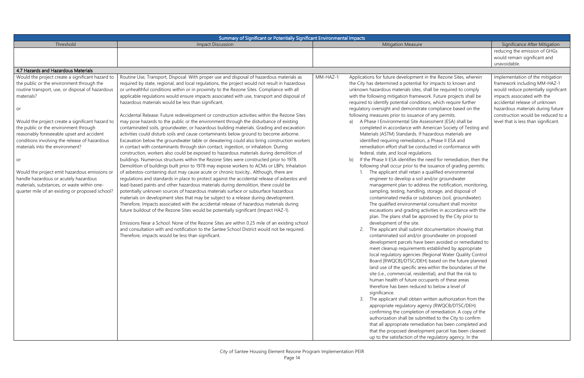| Summary of Significant or Potentially Significant Environmental Impacts |                                                                                               |           |                                                                                                                     |                                      |
|-------------------------------------------------------------------------|-----------------------------------------------------------------------------------------------|-----------|---------------------------------------------------------------------------------------------------------------------|--------------------------------------|
| Threshold                                                               | <b>Impact Discussion</b>                                                                      |           | <b>Mitigation Measure</b>                                                                                           | Significance After Mitigation        |
|                                                                         |                                                                                               |           |                                                                                                                     | reducing the emission of GHGs        |
|                                                                         |                                                                                               |           |                                                                                                                     | would remain significant and         |
|                                                                         |                                                                                               |           |                                                                                                                     | unavoidable.                         |
| 4.7 Hazards and Hazardous Materials                                     |                                                                                               |           |                                                                                                                     |                                      |
| Would the project create a significant hazard to                        | Routine Use, Transport, Disposal: With proper use and disposal of hazardous materials as      | MM-HAZ-1: | Applications for future development in the Rezone Sites, wherein                                                    | Implementation of the mitigation     |
| the public or the environment through the                               | required by state, regional, and local regulations, the project would not result in hazardous |           | the City has determined a potential for impacts to known and                                                        | framework including MM-HAZ-1         |
| routine transport, use, or disposal of hazardous                        | or unhealthful conditions within or in proximity to the Rezone Sites. Compliance with all     |           | unknown hazardous materials sites, shall be required to comply                                                      | would reduce potentially significant |
| materials?                                                              | applicable regulations would ensure impacts associated with use, transport and disposal of    |           | with the following mitigation framework. Future projects shall be                                                   | impacts associated with the          |
|                                                                         | hazardous materials would be less than significant.                                           |           | required to identify potential conditions, which require further                                                    | accidental release of unknown        |
| or                                                                      |                                                                                               |           | regulatory oversight and demonstrate compliance based on the                                                        | hazardous materials during future    |
|                                                                         | Accidental Release: Future redevelopment or construction activities within the Rezone Sites   |           | following measures prior to issuance of any permits.                                                                | construction would be reduced to a   |
| Would the project create a significant hazard to                        | may pose hazards to the public or the environment through the disturbance of existing         |           | A Phase I Environmental Site Assessment (ESA) shall be                                                              | level that is less than significant. |
| the public or the environment through                                   | contaminated soils, groundwater, or hazardous building materials. Grading and excavation      |           | completed in accordance with American Society of Testing and                                                        |                                      |
| reasonably foreseeable upset and accident                               | activities could disturb soils and cause contaminants below ground to become airborne.        |           | Materials (ASTM) Standards. If hazardous materials are                                                              |                                      |
| conditions involving the release of hazardous                           | Excavation below the groundwater table or dewatering could also bring construction workers    |           | identified requiring remediation, a Phase II ESA and                                                                |                                      |
| materials into the environment?                                         | in contact with contaminants through skin contact, ingestion, or inhalation. During           |           | remediation effort shall be conducted in conformance with                                                           |                                      |
|                                                                         | construction, workers also could be exposed to hazardous materials during demolition of       |           | federal, state, and local regulations.                                                                              |                                      |
| or                                                                      | buildings. Numerous structures within the Rezone Sites were constructed prior to 1978.        |           | If the Phase II ESA identifies the need for remediation, then the<br>b)                                             |                                      |
|                                                                         | Demolition of buildings built prior to 1978 may expose workers to ACMs or LBPs. Inhalation    |           | following shall occur prior to the issuance of grading permits:                                                     |                                      |
| Would the project emit hazardous emissions or                           | of asbestos-containing dust may cause acute or chronic toxicity Although, there are           |           | The applicant shall retain a qualified environmental                                                                |                                      |
| handle hazardous or acutely hazardous                                   | regulations and standards in place to protect against the accidental release of asbestos and  |           | engineer to develop a soil and/or groundwater                                                                       |                                      |
| materials, substances, or waste within one-                             | lead-based paints and other hazardous materials during demolition, there could be             |           | management plan to address the notification, monitoring,                                                            |                                      |
| quarter mile of an existing or proposed school?                         | potentially unknown sources of hazardous materials surface or subsurface hazardous            |           | sampling, testing, handling, storage, and disposal of                                                               |                                      |
|                                                                         | materials on development sites that may be subject to a release during development.           |           | contaminated media or substances (soil, groundwater).                                                               |                                      |
|                                                                         | Therefore, Impacts associated with the accidental release of hazardous materials during       |           | The qualified environmental consultant shall monitor                                                                |                                      |
|                                                                         | future buildout of the Rezone Sites would be potentially significant (Impact HAZ-1).          |           | excavations and grading activities in accordance with the<br>plan. The plans shall be approved by the City prior to |                                      |
|                                                                         | Emissions Near a School: None of the Rezone Sites are within 0.25 mile of an existing school  |           | development of the site.                                                                                            |                                      |
|                                                                         | and consultation with and notification to the Santee School District would not be required.   |           | The applicant shall submit documentation showing that                                                               |                                      |
|                                                                         | Therefore, impacts would be less than significant.                                            |           | contaminated soil and/or groundwater on proposed                                                                    |                                      |
|                                                                         |                                                                                               |           | development parcels have been avoided or remediated to                                                              |                                      |
|                                                                         |                                                                                               |           | meet cleanup requirements established by appropriate                                                                |                                      |
|                                                                         |                                                                                               |           | local regulatory agencies (Regional Water Quality Control                                                           |                                      |
|                                                                         |                                                                                               |           | Board [RWQCB]/DTSC/DEH) based on the future planned                                                                 |                                      |
|                                                                         |                                                                                               |           | land use of the specific area within the boundaries of the                                                          |                                      |
|                                                                         |                                                                                               |           | site (i.e., commercial, residential), and that the risk to                                                          |                                      |
|                                                                         |                                                                                               |           | human health of future occupants of these areas                                                                     |                                      |
|                                                                         |                                                                                               |           | therefore has been reduced to below a level of                                                                      |                                      |
|                                                                         |                                                                                               |           | significance.                                                                                                       |                                      |
|                                                                         |                                                                                               |           | The applicant shall obtain written authorization from the<br>3.                                                     |                                      |
|                                                                         |                                                                                               |           | appropriate regulatory agency (RWQCB/DTSC/DEH)                                                                      |                                      |
|                                                                         |                                                                                               |           | confirming the completion of remediation. A copy of the                                                             |                                      |
|                                                                         |                                                                                               |           | authorization shall be submitted to the City to confirm                                                             |                                      |
|                                                                         |                                                                                               |           | that all appropriate remediation has been completed and                                                             |                                      |
|                                                                         |                                                                                               |           | that the proposed development parcel has been cleaned                                                               |                                      |
|                                                                         |                                                                                               |           | up to the satisfaction of the regulatory agency. In the                                                             |                                      |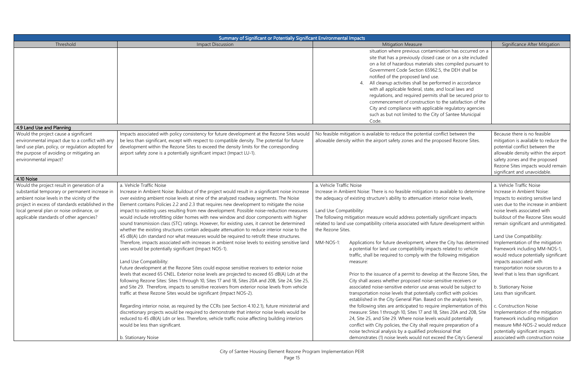| Summary of Significant or Potentially Significant Environmental Impacts                                                                                                                                                                                                                   |                                                                                                                                                                                                                                                                                                                                                                                                                                                                                                                                                                                                                                                                                                                                                                                                                                                                                                                                                                                                                                                                                                                                                                                                                                                                                                                                                                                                                                                                                                                                                                                                                                                                                                                                                                                                               |                                                                                                                                                                                                                                                                                                                                                                                                                                                                                                                                                                                                                                                                                                                                                                                                                                                                                                                                                                                                                                                                                                                                                                                                                                                                                                                                                                                                    |                                                                                                                                                                                                                                                                                                                                                                                                                                                                                                                                                                                                                                                                                                                      |
|-------------------------------------------------------------------------------------------------------------------------------------------------------------------------------------------------------------------------------------------------------------------------------------------|---------------------------------------------------------------------------------------------------------------------------------------------------------------------------------------------------------------------------------------------------------------------------------------------------------------------------------------------------------------------------------------------------------------------------------------------------------------------------------------------------------------------------------------------------------------------------------------------------------------------------------------------------------------------------------------------------------------------------------------------------------------------------------------------------------------------------------------------------------------------------------------------------------------------------------------------------------------------------------------------------------------------------------------------------------------------------------------------------------------------------------------------------------------------------------------------------------------------------------------------------------------------------------------------------------------------------------------------------------------------------------------------------------------------------------------------------------------------------------------------------------------------------------------------------------------------------------------------------------------------------------------------------------------------------------------------------------------------------------------------------------------------------------------------------------------|----------------------------------------------------------------------------------------------------------------------------------------------------------------------------------------------------------------------------------------------------------------------------------------------------------------------------------------------------------------------------------------------------------------------------------------------------------------------------------------------------------------------------------------------------------------------------------------------------------------------------------------------------------------------------------------------------------------------------------------------------------------------------------------------------------------------------------------------------------------------------------------------------------------------------------------------------------------------------------------------------------------------------------------------------------------------------------------------------------------------------------------------------------------------------------------------------------------------------------------------------------------------------------------------------------------------------------------------------------------------------------------------------|----------------------------------------------------------------------------------------------------------------------------------------------------------------------------------------------------------------------------------------------------------------------------------------------------------------------------------------------------------------------------------------------------------------------------------------------------------------------------------------------------------------------------------------------------------------------------------------------------------------------------------------------------------------------------------------------------------------------|
| Threshold                                                                                                                                                                                                                                                                                 | <b>Impact Discussion</b>                                                                                                                                                                                                                                                                                                                                                                                                                                                                                                                                                                                                                                                                                                                                                                                                                                                                                                                                                                                                                                                                                                                                                                                                                                                                                                                                                                                                                                                                                                                                                                                                                                                                                                                                                                                      | <b>Mitigation Measure</b>                                                                                                                                                                                                                                                                                                                                                                                                                                                                                                                                                                                                                                                                                                                                                                                                                                                                                                                                                                                                                                                                                                                                                                                                                                                                                                                                                                          | Significance After Mitigation                                                                                                                                                                                                                                                                                                                                                                                                                                                                                                                                                                                                                                                                                        |
|                                                                                                                                                                                                                                                                                           |                                                                                                                                                                                                                                                                                                                                                                                                                                                                                                                                                                                                                                                                                                                                                                                                                                                                                                                                                                                                                                                                                                                                                                                                                                                                                                                                                                                                                                                                                                                                                                                                                                                                                                                                                                                                               | situation where previous contamination has occurred on a<br>site that has a previously closed case or on a site included<br>on a list of hazardous materials sites compiled pursuant to<br>Government Code Section 65962.5, the DEH shall be<br>notified of the proposed land use.<br>All cleanup activities shall be performed in accordance<br>4.<br>with all applicable federal, state, and local laws and<br>regulations, and required permits shall be secured prior to<br>commencement of construction to the satisfaction of the<br>City and compliance with applicable regulatory agencies<br>such as but not limited to the City of Santee Municipal<br>Code.                                                                                                                                                                                                                                                                                                                                                                                                                                                                                                                                                                                                                                                                                                                             |                                                                                                                                                                                                                                                                                                                                                                                                                                                                                                                                                                                                                                                                                                                      |
| 4.9 Land Use and Planning                                                                                                                                                                                                                                                                 |                                                                                                                                                                                                                                                                                                                                                                                                                                                                                                                                                                                                                                                                                                                                                                                                                                                                                                                                                                                                                                                                                                                                                                                                                                                                                                                                                                                                                                                                                                                                                                                                                                                                                                                                                                                                               |                                                                                                                                                                                                                                                                                                                                                                                                                                                                                                                                                                                                                                                                                                                                                                                                                                                                                                                                                                                                                                                                                                                                                                                                                                                                                                                                                                                                    |                                                                                                                                                                                                                                                                                                                                                                                                                                                                                                                                                                                                                                                                                                                      |
| Would the project cause a significant<br>environmental impact due to a conflict with any<br>land use plan, policy, or regulation adopted for<br>the purpose of avoiding or mitigating an<br>environmental impact?                                                                         | Impacts associated with policy consistency for future development at the Rezone Sites would<br>be less than significant, except with respect to compatible density. The potential for future<br>development within the Rezone Sites to exceed the density limits for the corresponding<br>airport safety zone is a potentially significant impact (Impact LU-1).                                                                                                                                                                                                                                                                                                                                                                                                                                                                                                                                                                                                                                                                                                                                                                                                                                                                                                                                                                                                                                                                                                                                                                                                                                                                                                                                                                                                                                              | No feasible mitigation is available to reduce the potential conflict between the<br>allowable density within the airport safety zones and the proposed Rezone Sites.                                                                                                                                                                                                                                                                                                                                                                                                                                                                                                                                                                                                                                                                                                                                                                                                                                                                                                                                                                                                                                                                                                                                                                                                                               | Because there is no feasible<br>mitigation is available to reduce the<br>potential conflict between the<br>allowable density within the airport<br>safety zones and the proposed<br>Rezone Sites impacts would remain<br>significant and unavoidable.                                                                                                                                                                                                                                                                                                                                                                                                                                                                |
| 4.10 Noise                                                                                                                                                                                                                                                                                |                                                                                                                                                                                                                                                                                                                                                                                                                                                                                                                                                                                                                                                                                                                                                                                                                                                                                                                                                                                                                                                                                                                                                                                                                                                                                                                                                                                                                                                                                                                                                                                                                                                                                                                                                                                                               |                                                                                                                                                                                                                                                                                                                                                                                                                                                                                                                                                                                                                                                                                                                                                                                                                                                                                                                                                                                                                                                                                                                                                                                                                                                                                                                                                                                                    |                                                                                                                                                                                                                                                                                                                                                                                                                                                                                                                                                                                                                                                                                                                      |
| Would the project result in generation of a<br>substantial temporary or permanent increase ir<br>ambient noise levels in the vicinity of the<br>project in excess of standards established in the<br>local general plan or noise ordinance, or<br>applicable standards of other agencies? | a. Vehicle Traffic Noise<br>Increase in Ambient Noise: Buildout of the project would result in a significant noise increase<br>over existing ambient noise levels at nine of the analyzed roadway segments. The Noise<br>Element contains Policies 2.2 and 2.3 that requires new development to mitigate the noise<br>impact to existing uses resulting from new development. Possible noise-reduction measures<br>would include retrofitting older homes with new window and door components with higher<br>sound transmission class (STC) ratings. However, for existing uses, it cannot be determined<br>whether the existing structures contain adequate attenuation to reduce interior noise to the<br>45 dB(A) Ldn standard nor what measures would be required to retrofit these structures.<br>Therefore, impacts associated with increases in ambient noise levels to existing sensitive land<br>uses would be potentially significant (Impact NOS-1).<br>Land Use Compatibility:<br>Future development at the Rezone Sites could expose sensitive receivers to exterior noise<br>levels that exceed 65 CNEL. Exterior noise levels are projected to exceed 65 dB(A) Ldn at the<br>following Rezone Sites: Sites 1 through 10, Sites 17 and 18, Sites 20A and 20B, Site 24, Site 25,<br>and Site 29. Therefore, impacts to sensitive receivers from exterior noise levels from vehicle<br>traffic at these Rezone Sites would be significant (Impact NOS-2).<br>Regarding interior noise, as required by the CCRs (see Section 4.10.2.1), future ministerial and<br>discretionary projects would be required to demonstrate that interior noise levels would be<br>reduced to 45 dB(A) Ldn or less. Therefore, vehicle traffic noise affecting building interiors<br>would be less than significant. | a. Vehicle Traffic Noise<br>Increase in Ambient Noise: There is no feasible mitigation to available to determine<br>the adequacy of existing structure's ability to attenuation interior noise levels,<br>Land Use Compatibility:<br>The following mitigation measure would address potentially significant impacts<br>related to land use compatibility criteria associated with future development within<br>the Rezone Sites.<br>Applications for future development, where the City has determined<br>MM-NOS-1:<br>a potential for land use compatibility impacts related to vehicle<br>traffic, shall be required to comply with the following mitigation<br>measure:<br>Prior to the issuance of a permit to develop at the Rezone Sites, the<br>City shall assess whether proposed noise-sensitive receivers or<br>associated noise-sensitive exterior use areas would be subject to<br>transportation noise levels that potentially conflict with policies<br>established in the City General Plan. Based on the analysis herein,<br>the following sites are anticipated to require implementation of this<br>measure: Sites 1 through 10, Sites 17 and 18, Sites 20A and 20B, Site<br>24, Site 25, and Site 29. Where noise levels would potentially<br>conflict with City policies, the City shall require preparation of a<br>noise technical analysis by a qualified professional that | a. Vehicle Traffic Noise<br>Increase in Ambient Noise:<br>Impacts to existing sensitive land<br>uses due to the increase in ambient<br>noise levels associated with<br>buildout of the Rezone Sites would<br>remain significant and unmitigated.<br>Land Use Compatibility:<br>Implementation of the mitigation<br>framework including MM-NOS-1,<br>would reduce potentially significant<br>impacts associated with<br>transportation noise sources to a<br>level that is less than significant.<br>b. Stationary Noise<br>Less than significant.<br>c. Construction Noise<br>Implementation of the mitigation<br>framework including mitigation<br>measure MM-NOS-2 would reduce<br>potentially significant impacts |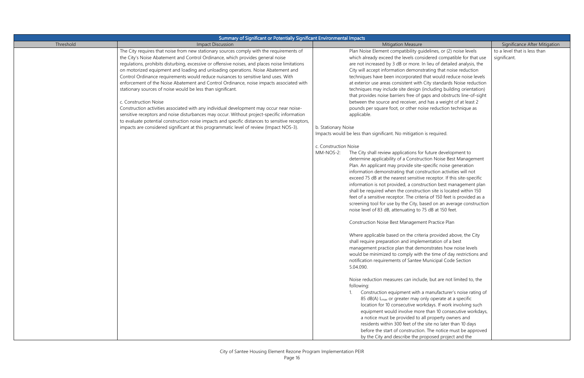|           | Summary of Significant or Potentially Significant Environmental Impacts                                                                                                                                                                                                                                                                                                                                                                                                                                                                                                                                                                                                                                                                                                                                                                                                                                                                                                                                                           |                                                                                                                                                                                                                                                                                                                                                                                                                                                                                                                                                                                                                                                                                                                                                                                                                                                                                                                                                                                                                                                                                                                                                                                                                                                                                                                                                                                                                                                                                                                                                                                                                                                                                                                                                                                                                                                                                                                                                                                                                                                                 |                                              |  |  |
|-----------|-----------------------------------------------------------------------------------------------------------------------------------------------------------------------------------------------------------------------------------------------------------------------------------------------------------------------------------------------------------------------------------------------------------------------------------------------------------------------------------------------------------------------------------------------------------------------------------------------------------------------------------------------------------------------------------------------------------------------------------------------------------------------------------------------------------------------------------------------------------------------------------------------------------------------------------------------------------------------------------------------------------------------------------|-----------------------------------------------------------------------------------------------------------------------------------------------------------------------------------------------------------------------------------------------------------------------------------------------------------------------------------------------------------------------------------------------------------------------------------------------------------------------------------------------------------------------------------------------------------------------------------------------------------------------------------------------------------------------------------------------------------------------------------------------------------------------------------------------------------------------------------------------------------------------------------------------------------------------------------------------------------------------------------------------------------------------------------------------------------------------------------------------------------------------------------------------------------------------------------------------------------------------------------------------------------------------------------------------------------------------------------------------------------------------------------------------------------------------------------------------------------------------------------------------------------------------------------------------------------------------------------------------------------------------------------------------------------------------------------------------------------------------------------------------------------------------------------------------------------------------------------------------------------------------------------------------------------------------------------------------------------------------------------------------------------------------------------------------------------------|----------------------------------------------|--|--|
| Threshold | <b>Impact Discussion</b>                                                                                                                                                                                                                                                                                                                                                                                                                                                                                                                                                                                                                                                                                                                                                                                                                                                                                                                                                                                                          | <b>Mitigation Measure</b>                                                                                                                                                                                                                                                                                                                                                                                                                                                                                                                                                                                                                                                                                                                                                                                                                                                                                                                                                                                                                                                                                                                                                                                                                                                                                                                                                                                                                                                                                                                                                                                                                                                                                                                                                                                                                                                                                                                                                                                                                                       | Significance After Mitigation                |  |  |
|           | The City requires that noise from new stationary sources comply with the requirements of<br>the City's Noise Abatement and Control Ordinance, which provides general noise<br>regulations, prohibits disturbing, excessive or offensive noises, and places noise limitations<br>on motorized equipment and loading and unloading operations. Noise Abatement and<br>Control Ordinance requirements would reduce nuisances to sensitive land uses. With<br>enforcement of the Noise Abatement and Control Ordinance, noise impacts associated with<br>stationary sources of noise would be less than significant.<br>c. Construction Noise<br>Construction activities associated with any individual development may occur near noise-<br>sensitive receptors and noise disturbances may occur. Without project-specific information<br>to evaluate potential construction noise impacts and specific distances to sensitive receptors,<br>impacts are considered significant at this programmatic level of review (Impact NOS-3). | Plan Noise Element compatibility guidelines, or (2) noise levels<br>which already exceed the levels considered compatible for that use<br>are not increased by 3 dB or more. In lieu of detailed analysis, the<br>City will accept information demonstrating that noise reduction<br>techniques have been incorporated that would reduce noise levels<br>at exterior use areas consistent with City standards Noise reduction<br>techniques may include site design (including building orientation)<br>that provides noise barriers free of gaps and obstructs line-of-sight<br>between the source and receiver, and has a weight of at least 2<br>pounds per square foot, or other noise reduction technique as<br>applicable.<br>b. Stationary Noise<br>Impacts would be less than significant. No mitigation is required.<br>c. Construction Noise<br>MM-NOS-2:<br>The City shall review applications for future development to<br>determine applicability of a Construction Noise Best Management<br>Plan. An applicant may provide site-specific noise generation<br>information demonstrating that construction activities will not<br>exceed 75 dB at the nearest sensitive receptor. If this site-specific<br>information is not provided, a construction best management plan<br>shall be required when the construction site is located within 150<br>feet of a sensitive receptor. The criteria of 150 feet is provided as a<br>screening tool for use by the City, based on an average construction<br>noise level of 83 dB, attenuating to 75 dB at 150 feet.<br>Construction Noise Best Management Practice Plan<br>Where applicable based on the criteria provided above, the City<br>shall require preparation and implementation of a best<br>management practice plan that demonstrates how noise levels<br>would be minimized to comply with the time of day restrictions and<br>notification requirements of Santee Municipal Code Section<br>5.04.090.<br>Noise reduction measures can include, but are not limited to, the<br>following: | to a level that is less than<br>significant. |  |  |
|           |                                                                                                                                                                                                                                                                                                                                                                                                                                                                                                                                                                                                                                                                                                                                                                                                                                                                                                                                                                                                                                   | Construction equipment with a manufacturer's noise rating of<br>85 dB(A) L <sub>max</sub> or greater may only operate at a specific<br>location for 10 consecutive workdays. If work involving such<br>equipment would involve more than 10 consecutive workdays,<br>a notice must be provided to all property owners and<br>residents within 300 feet of the site no later than 10 days<br>before the start of construction. The notice must be approved<br>by the City and describe the proposed project and the                                                                                                                                                                                                                                                                                                                                                                                                                                                                                                                                                                                                                                                                                                                                                                                                                                                                                                                                                                                                                                                                                                                                                                                                                                                                                                                                                                                                                                                                                                                                              |                                              |  |  |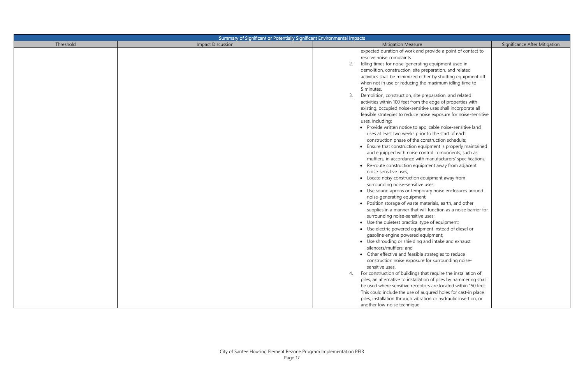| Summary of Significant or Potentially Significant Environmental Impacts |                          |                                                                                                                                                                                                                                                                                                                                                                                                                                                                                                                                                                                                                                                                                                                                                                                                                                                                                                                                                                                                                                                                                                                                                                                                                                                                                                                                                                                                                                                                                                                                                                                                                                                                                                                                                                                                                                                                                                                                                                                                                                                                                                                                                                          |                               |  |
|-------------------------------------------------------------------------|--------------------------|--------------------------------------------------------------------------------------------------------------------------------------------------------------------------------------------------------------------------------------------------------------------------------------------------------------------------------------------------------------------------------------------------------------------------------------------------------------------------------------------------------------------------------------------------------------------------------------------------------------------------------------------------------------------------------------------------------------------------------------------------------------------------------------------------------------------------------------------------------------------------------------------------------------------------------------------------------------------------------------------------------------------------------------------------------------------------------------------------------------------------------------------------------------------------------------------------------------------------------------------------------------------------------------------------------------------------------------------------------------------------------------------------------------------------------------------------------------------------------------------------------------------------------------------------------------------------------------------------------------------------------------------------------------------------------------------------------------------------------------------------------------------------------------------------------------------------------------------------------------------------------------------------------------------------------------------------------------------------------------------------------------------------------------------------------------------------------------------------------------------------------------------------------------------------|-------------------------------|--|
| Threshold                                                               | <b>Impact Discussion</b> | <b>Mitigation Measure</b>                                                                                                                                                                                                                                                                                                                                                                                                                                                                                                                                                                                                                                                                                                                                                                                                                                                                                                                                                                                                                                                                                                                                                                                                                                                                                                                                                                                                                                                                                                                                                                                                                                                                                                                                                                                                                                                                                                                                                                                                                                                                                                                                                | Significance After Mitigation |  |
|                                                                         |                          | expected duration of work and provide a point of contact to<br>resolve noise complaints.<br>Idling times for noise-generating equipment used in<br>2.<br>demolition, construction, site preparation, and related<br>activities shall be minimized either by shutting equipment off<br>when not in use or reducing the maximum idling time to<br>5 minutes.<br>Demolition, construction, site preparation, and related<br>activities within 100 feet from the edge of properties with<br>existing, occupied noise-sensitive uses shall incorporate all<br>feasible strategies to reduce noise exposure for noise-sensitive<br>uses, including:<br>• Provide written notice to applicable noise-sensitive land<br>uses at least two weeks prior to the start of each<br>construction phase of the construction schedule;<br>• Ensure that construction equipment is properly maintained<br>and equipped with noise control components, such as<br>mufflers, in accordance with manufacturers' specifications;<br>• Re-route construction equipment away from adjacent<br>noise-sensitive uses;<br>• Locate noisy construction equipment away from<br>surrounding noise-sensitive uses;<br>• Use sound aprons or temporary noise enclosures around<br>noise-generating equipment;<br>• Position storage of waste materials, earth, and other<br>supplies in a manner that will function as a noise barrier for<br>surrounding noise-sensitive uses;<br>• Use the quietest practical type of equipment;<br>• Use electric powered equipment instead of diesel or<br>gasoline engine powered equipment;<br>• Use shrouding or shielding and intake and exhaust<br>silencers/mufflers; and<br>• Other effective and feasible strategies to reduce<br>construction noise exposure for surrounding noise-<br>sensitive uses.<br>For construction of buildings that require the installation of<br>4.<br>piles, an alternative to installation of piles by hammering shall<br>be used where sensitive receptors are located within 150 feet.<br>This could include the use of augured holes for cast-in place<br>piles, installation through vibration or hydraulic insertion, or |                               |  |
|                                                                         |                          | another low-noise technique.                                                                                                                                                                                                                                                                                                                                                                                                                                                                                                                                                                                                                                                                                                                                                                                                                                                                                                                                                                                                                                                                                                                                                                                                                                                                                                                                                                                                                                                                                                                                                                                                                                                                                                                                                                                                                                                                                                                                                                                                                                                                                                                                             |                               |  |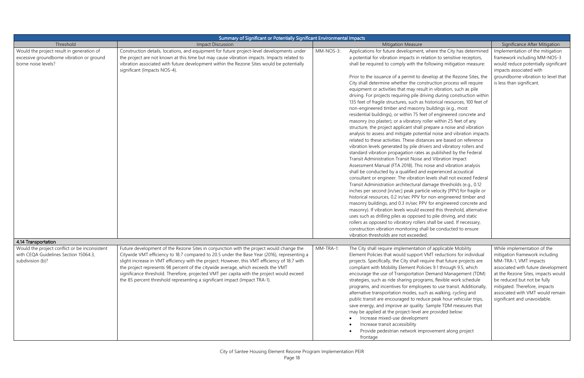|                                                                                                               | Summary of Significant or Potentially Significant Environmental Impacts                                                                                                                                                                                                                                                                                                                                                                                                                                                                                |           |                                                                                                                                                                                                                                                                                                                                                                                                                                                                                                                                                                                                                                                                                                                                                                                                                                                                                                                                                                                                                                                                                                                                                                                                                                                                                                                                                                                                                                                                                                                                                                                                                                                                                                                                                                                                                                                                                                                                                                                                                                                                                    |                                                                                                                                                                                                                                                                                                        |
|---------------------------------------------------------------------------------------------------------------|--------------------------------------------------------------------------------------------------------------------------------------------------------------------------------------------------------------------------------------------------------------------------------------------------------------------------------------------------------------------------------------------------------------------------------------------------------------------------------------------------------------------------------------------------------|-----------|------------------------------------------------------------------------------------------------------------------------------------------------------------------------------------------------------------------------------------------------------------------------------------------------------------------------------------------------------------------------------------------------------------------------------------------------------------------------------------------------------------------------------------------------------------------------------------------------------------------------------------------------------------------------------------------------------------------------------------------------------------------------------------------------------------------------------------------------------------------------------------------------------------------------------------------------------------------------------------------------------------------------------------------------------------------------------------------------------------------------------------------------------------------------------------------------------------------------------------------------------------------------------------------------------------------------------------------------------------------------------------------------------------------------------------------------------------------------------------------------------------------------------------------------------------------------------------------------------------------------------------------------------------------------------------------------------------------------------------------------------------------------------------------------------------------------------------------------------------------------------------------------------------------------------------------------------------------------------------------------------------------------------------------------------------------------------------|--------------------------------------------------------------------------------------------------------------------------------------------------------------------------------------------------------------------------------------------------------------------------------------------------------|
| Threshold                                                                                                     | <b>Impact Discussion</b>                                                                                                                                                                                                                                                                                                                                                                                                                                                                                                                               |           | <b>Mitigation Measure</b>                                                                                                                                                                                                                                                                                                                                                                                                                                                                                                                                                                                                                                                                                                                                                                                                                                                                                                                                                                                                                                                                                                                                                                                                                                                                                                                                                                                                                                                                                                                                                                                                                                                                                                                                                                                                                                                                                                                                                                                                                                                          | Significance After Mitigation                                                                                                                                                                                                                                                                          |
| Would the project result in generation of<br>excessive groundborne vibration or ground<br>borne noise levels? | Construction details, locations, and equipment for future project-level developments under<br>the project are not known at this time but may cause vibration impacts. Impacts related to<br>vibration associated with future development within the Rezone Sites would be potentially<br>significant (Impacts NOS-4).                                                                                                                                                                                                                                  | MM-NOS-3: | Applications for future development, where the City has determined<br>a potential for vibration impacts in relation to sensitive receptors,<br>shall be required to comply with the following mitigation measure:<br>Prior to the issuance of a permit to develop at the Rezone Sites, the<br>City shall determine whether the construction process will require<br>equipment or activities that may result in vibration, such as pile<br>driving. For projects requiring pile driving during construction within<br>135 feet of fragile structures, such as historical resources, 100 feet of<br>non-engineered timber and masonry buildings (e.g., most<br>residential buildings), or within 75 feet of engineered concrete and<br>masonry (no plaster); or a vibratory roller within 25 feet of any<br>structure, the project applicant shall prepare a noise and vibration<br>analysis to assess and mitigate potential noise and vibration impacts<br>related to these activities. These distances are based on reference<br>vibration levels generated by pile drivers and vibratory rollers and<br>standard vibration propagation rates as published by the Federal<br>Transit Administration Transit Noise and Vibration Impact<br>Assessment Manual (FTA 2018). This noise and vibration analysis<br>shall be conducted by a qualified and experienced acoustical<br>consultant or engineer. The vibration levels shall not exceed Federal<br>Transit Administration architectural damage thresholds (e.g., 0.12<br>inches per second [in/sec] peak particle velocity [PPV] for fragile or<br>historical resources, 0.2 in/sec PPV for non-engineered timber and<br>masonry buildings, and 0.3 in/sec PPV for engineered concrete and<br>masonry). If vibration levels would exceed this threshold, alternative<br>uses such as drilling piles as opposed to pile driving, and static<br>rollers as opposed to vibratory rollers shall be used. If necessary,<br>construction vibration monitoring shall be conducted to ensure<br>vibration thresholds are not exceeded. | Implementation of the mitigation<br>framework including MM-NOS-3<br>would reduce potentially significant<br>impacts associated with<br>groundborne vibration to level that<br>is less than significant.                                                                                                |
| 4.14 Transportation                                                                                           |                                                                                                                                                                                                                                                                                                                                                                                                                                                                                                                                                        |           |                                                                                                                                                                                                                                                                                                                                                                                                                                                                                                                                                                                                                                                                                                                                                                                                                                                                                                                                                                                                                                                                                                                                                                                                                                                                                                                                                                                                                                                                                                                                                                                                                                                                                                                                                                                                                                                                                                                                                                                                                                                                                    |                                                                                                                                                                                                                                                                                                        |
| Would the project conflict or be inconsistent<br>with CEQA Guidelines Section 15064.3,<br>subdivision (b)?    | Future development of the Rezone Sites in conjunction with the project would change the<br>Citywide VMT efficiency to 18.7 compared to 20.5 under the Base Year (2016), representing a<br>slight increase in VMT efficiency with the project. However, this VMT efficiency of 18.7 with<br>the project represents 98 percent of the citywide average, which exceeds the VMT<br>significance threshold. Therefore, projected VMT per capita with the project would exceed<br>the 85 percent threshold representing a significant impact (Impact TRA-1). | MM-TRA-1: | The City shall require implementation of applicable Mobility<br>Element Policies that would support VMT reductions for individual<br>projects. Specifically, the City shall require that future projects are<br>compliant with Mobility Element Policies 9.1 through 9.5, which<br>encourage the use of Transportation Demand Management (TDM)<br>strategies, such as ride sharing programs, flexible work schedule<br>programs, and incentives for employees to use transit. Additionally,<br>alternative transportation modes, such as walking, cycling and<br>public transit are encouraged to reduce peak hour vehicular trips,<br>save energy, and improve air quality. Sample TDM measures that<br>may be applied at the project-level are provided below:<br>Increase mixed-use development<br>Increase transit accessibility<br>Provide pedestrian network improvement along project<br>frontage                                                                                                                                                                                                                                                                                                                                                                                                                                                                                                                                                                                                                                                                                                                                                                                                                                                                                                                                                                                                                                                                                                                                                                           | While implementation of the<br>mitigation framework including<br>MM-TRA-1, VMT impacts<br>associated with future development<br>at the Rezone Sites, impacts would<br>be reduced but not be fully<br>mitigated. Therefore, impacts<br>associated with VMT would remain<br>significant and unavoidable. |